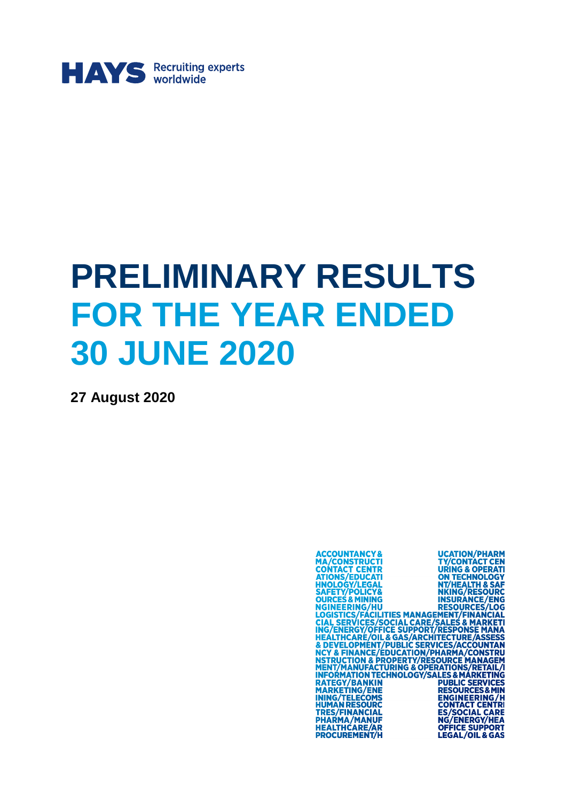

# **PRELIMINARY RESULTS FOR THE YEAR ENDED 30 JUNE 2020**

**27 August 2020** 

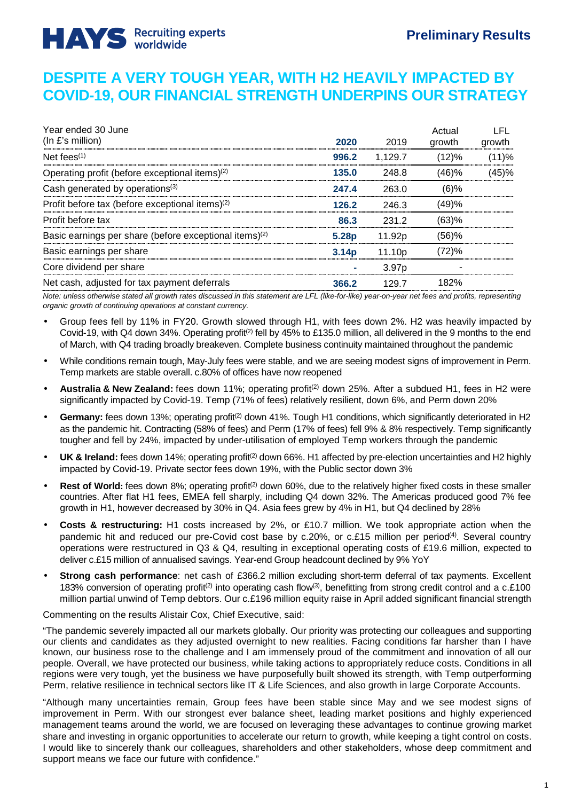### **DESPITE A VERY TOUGH YEAR, WITH H2 HEAVILY IMPACTED BY COVID-19, OUR FINANCIAL STRENGTH UNDERPINS OUR STRATEGY**

| Year ended 30 June<br>(ln E's million)                             | 2020              | 2019               | Actual<br>growth | growth |
|--------------------------------------------------------------------|-------------------|--------------------|------------------|--------|
| Net fees $(1)$                                                     | 996.2             | 1.129.7            | (12)%            | (11)%  |
| Operating profit (before exceptional items) <sup>(2)</sup>         | 135.0             | 248.8              | (46)%            | (45)%  |
| Cash generated by operations <sup>(3)</sup>                        | 247.4             | 263.0              | (6)%             |        |
| Profit before tax (before exceptional items) <sup>(2)</sup>        | 126.2             | 246.3              | (49)%            |        |
| Profit before tax                                                  | 86.3              | 2312               | (63)%            |        |
| Basic earnings per share (before exceptional items) <sup>(2)</sup> | 5.28 <sub>p</sub> | 11.92 <sub>p</sub> | $(56)$ %         |        |
| Basic earnings per share                                           | 3.14 <sub>p</sub> | 11.10 <sub>p</sub> | (72)%            |        |
| Core dividend per share                                            |                   | 3.97 <sub>p</sub>  |                  |        |
| Net cash, adjusted for tax payment deferrals                       | 366.2             | 129.7              | 182%             |        |

Note: unless otherwise stated all growth rates discussed in this statement are LFL (like-for-like) year-on-year net fees and profits, representing *organic growth of continuing operations at constant currency.*

- Group fees fell by 11% in FY20. Growth slowed through H1, with fees down 2%. H2 was heavily impacted by Covid-19, with Q4 down 34%. Operating profit<sup>(2)</sup> fell by 45% to £135.0 million, all delivered in the 9 months to the end of March, with Q4 trading broadly breakeven. Complete business continuity maintained throughout the pandemic
- While conditions remain tough, May-July fees were stable, and we are seeing modest signs of improvement in Perm. Temp markets are stable overall. c.80% of offices have now reopened
- **Australia & New Zealand:** fees down 11%; operating profit(2) down 25%. After a subdued H1, fees in H2 were significantly impacted by Covid-19. Temp (71% of fees) relatively resilient, down 6%, and Perm down 20%
- Germany: fees down 13%; operating profit<sup>(2)</sup> down 41%. Tough H1 conditions, which significantly deteriorated in H2 as the pandemic hit. Contracting (58% of fees) and Perm (17% of fees) fell 9% & 8% respectively. Temp significantly tougher and fell by 24%, impacted by under-utilisation of employed Temp workers through the pandemic
- **UK & Ireland:** fees down 14%; operating profit(2) down 66%. H1 affected by pre-election uncertainties and H2 highly impacted by Covid-19. Private sector fees down 19%, with the Public sector down 3%
- **Rest of World:** fees down 8%; operating profit<sup>(2)</sup> down 60%, due to the relatively higher fixed costs in these smaller countries. After flat H1 fees, EMEA fell sharply, including Q4 down 32%. The Americas produced good 7% fee growth in H1, however decreased by 30% in Q4. Asia fees grew by 4% in H1, but Q4 declined by 28%
- **Costs & restructuring:** H1 costs increased by 2%, or £10.7 million. We took appropriate action when the pandemic hit and reduced our pre-Covid cost base by c.20%, or c.£15 million per period<sup>(4)</sup>. Several country operations were restructured in Q3 & Q4, resulting in exceptional operating costs of £19.6 million, expected to deliver c.£15 million of annualised savings. Year-end Group headcount declined by 9% YoY
- **Strong cash performance**: net cash of £366.2 million excluding short-term deferral of tax payments. Excellent 183% conversion of operating profit<sup>(2)</sup> into operating cash flow<sup>(3)</sup>, benefitting from strong credit control and a c.£100 million partial unwind of Temp debtors. Our c.£196 million equity raise in April added significant financial strength

#### Commenting on the results Alistair Cox, Chief Executive, said:

"The pandemic severely impacted all our markets globally. Our priority was protecting our colleagues and supporting our clients and candidates as they adjusted overnight to new realities. Facing conditions far harsher than I have known, our business rose to the challenge and I am immensely proud of the commitment and innovation of all our people. Overall, we have protected our business, while taking actions to appropriately reduce costs. Conditions in all regions were very tough, yet the business we have purposefully built showed its strength, with Temp outperforming Perm, relative resilience in technical sectors like IT & Life Sciences, and also growth in large Corporate Accounts.

"Although many uncertainties remain, Group fees have been stable since May and we see modest signs of improvement in Perm. With our strongest ever balance sheet, leading market positions and highly experienced management teams around the world, we are focused on leveraging these advantages to continue growing market share and investing in organic opportunities to accelerate our return to growth, while keeping a tight control on costs. I would like to sincerely thank our colleagues, shareholders and other stakeholders, whose deep commitment and support means we face our future with confidence."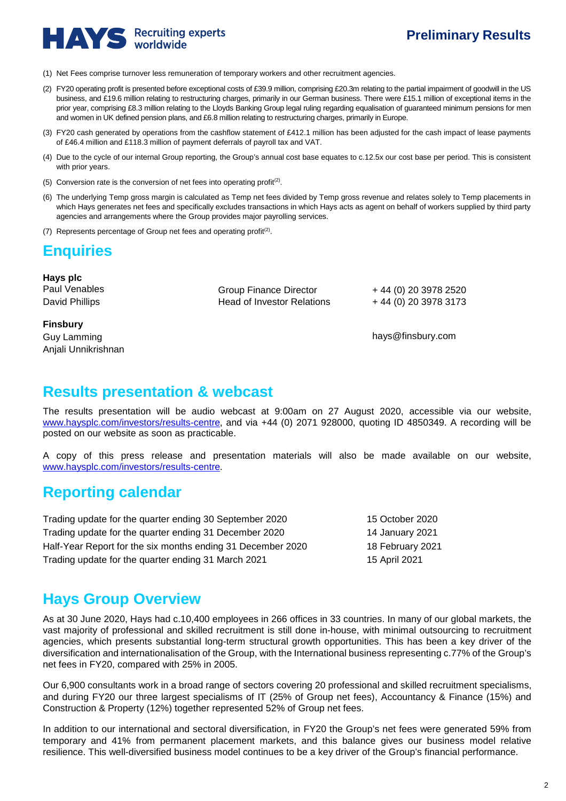

- (1) Net Fees comprise turnover less remuneration of temporary workers and other recruitment agencies.
- (2) FY20 operating profit is presented before exceptional costs of £39.9 million, comprising £20.3m relating to the partial impairment of goodwill in the US business, and £19.6 million relating to restructuring charges, primarily in our German business. There were £15.1 million of exceptional items in the prior year, comprising £8.3 million relating to the Lloyds Banking Group legal ruling regarding equalisation of guaranteed minimum pensions for men and women in UK defined pension plans, and £6.8 million relating to restructuring charges, primarily in Europe.
- (3) FY20 cash generated by operations from the cashflow statement of £412.1 million has been adjusted for the cash impact of lease payments of £46.4 million and £118.3 million of payment deferrals of payroll tax and VAT.
- (4) Due to the cycle of our internal Group reporting, the Group's annual cost base equates to c.12.5x our cost base per period. This is consistent with prior years.
- (5) Conversion rate is the conversion of net fees into operating profit<sup>(2)</sup>.
- (6) The underlying Temp gross margin is calculated as Temp net fees divided by Temp gross revenue and relates solely to Temp placements in which Hays generates net fees and specifically excludes transactions in which Hays acts as agent on behalf of workers supplied by third party agencies and arrangements where the Group provides major payrolling services.
- (7) Represents percentage of Group net fees and operating profit<sup>(2)</sup>.

#### **Enquiries**

**Hays plc** Paul Venables David Phillips

Group Finance Director Head of Investor Relations + 44 (0) 20 3978 2520 + 44 (0) 20 3978 3173

**Finsbury**

Guy Lamming Anjali Unnikrishnan hays@finsbury.com

### **Results presentation & webcast**

The results presentation will be audio webcast at 9:00am on 27 August 2020, accessible via our website, www.haysplc.com/investors/results-centre, and via +44 (0) 2071 928000, quoting ID 4850349. A recording will be posted on our website as soon as practicable.

A copy of this press release and presentation materials will also be made available on our website, www.haysplc.com/investors/results-centre.

### **Reporting calendar**

Trading update for the quarter ending 30 September 2020 15 October 2020 Trading update for the quarter ending 31 December 2020 14 January 2021 Half-Year Report for the six months ending 31 December 2020 18 February 2021 Trading update for the quarter ending 31 March 2021 15 April 2021

#### **Hays Group Overview**

As at 30 June 2020, Hays had c.10,400 employees in 266 offices in 33 countries. In many of our global markets, the vast majority of professional and skilled recruitment is still done in-house, with minimal outsourcing to recruitment agencies, which presents substantial long-term structural growth opportunities. This has been a key driver of the diversification and internationalisation of the Group, with the International business representing c.77% of the Group's net fees in FY20, compared with 25% in 2005.

Our 6,900 consultants work in a broad range of sectors covering 20 professional and skilled recruitment specialisms, and during FY20 our three largest specialisms of IT (25% of Group net fees), Accountancy & Finance (15%) and Construction & Property (12%) together represented 52% of Group net fees.

In addition to our international and sectoral diversification, in FY20 the Group's net fees were generated 59% from temporary and 41% from permanent placement markets, and this balance gives our business model relative resilience. This well-diversified business model continues to be a key driver of the Group's financial performance.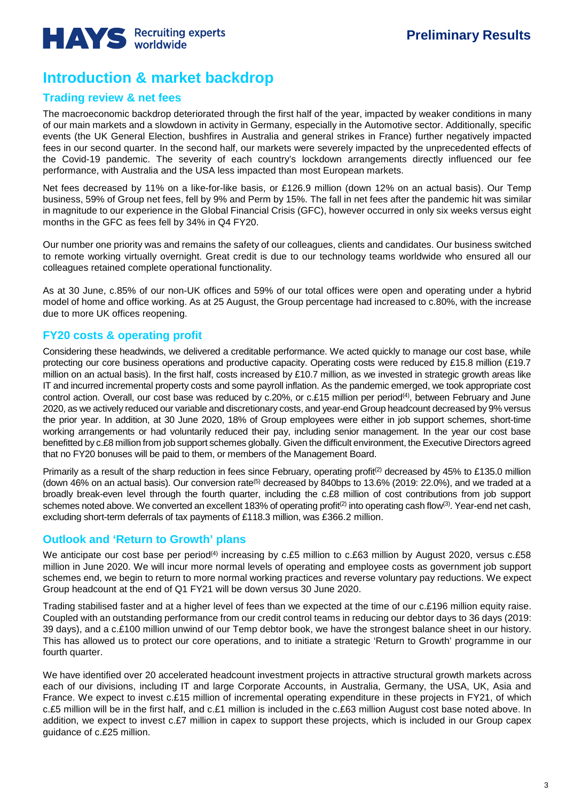

### **Introduction & market backdrop**

#### **Trading review & net fees**

The macroeconomic backdrop deteriorated through the first half of the year, impacted by weaker conditions in many of our main markets and a slowdown in activity in Germany, especially in the Automotive sector. Additionally, specific events (the UK General Election, bushfires in Australia and general strikes in France) further negatively impacted fees in our second quarter. In the second half, our markets were severely impacted by the unprecedented effects of the Covid-19 pandemic. The severity of each country's lockdown arrangements directly influenced our fee performance, with Australia and the USA less impacted than most European markets.

Net fees decreased by 11% on a like-for-like basis, or £126.9 million (down 12% on an actual basis). Our Temp business, 59% of Group net fees, fell by 9% and Perm by 15%. The fall in net fees after the pandemic hit was similar in magnitude to our experience in the Global Financial Crisis (GFC), however occurred in only six weeks versus eight months in the GFC as fees fell by 34% in Q4 FY20.

Our number one priority was and remains the safety of our colleagues, clients and candidates. Our business switched to remote working virtually overnight. Great credit is due to our technology teams worldwide who ensured all our colleagues retained complete operational functionality.

As at 30 June, c.85% of our non-UK offices and 59% of our total offices were open and operating under a hybrid model of home and office working. As at 25 August, the Group percentage had increased to c.80%, with the increase due to more UK offices reopening.

#### **FY20 costs & operating profit**

Considering these headwinds, we delivered a creditable performance. We acted quickly to manage our cost base, while protecting our core business operations and productive capacity. Operating costs were reduced by £15.8 million (£19.7 million on an actual basis). In the first half, costs increased by £10.7 million, as we invested in strategic growth areas like IT and incurred incremental property costs and some payroll inflation. As the pandemic emerged, we took appropriate cost control action. Overall, our cost base was reduced by c.20%, or c.£15 million per period<sup>(4)</sup>, between February and June 2020, as we actively reduced our variable and discretionary costs, and year-end Group headcount decreased by 9% versus the prior year. In addition, at 30 June 2020, 18% of Group employees were either in job support schemes, short-time working arrangements or had voluntarily reduced their pay, including senior management. In the year our cost base benefitted by c.£8 million from job support schemes globally. Given the difficult environment, the Executive Directors agreed that no FY20 bonuses will be paid to them, or members of the Management Board.

Primarily as a result of the sharp reduction in fees since February, operating profit<sup>(2)</sup> decreased by 45% to £135.0 million (down 46% on an actual basis). Our conversion rate<sup>(5)</sup> decreased by 840bps to 13.6% (2019: 22.0%), and we traded at a broadly break-even level through the fourth quarter, including the c.£8 million of cost contributions from job support schemes noted above. We converted an excellent 183% of operating profit<sup>(2)</sup> into operating cash flow<sup>(3)</sup>. Year-end net cash, excluding short-term deferrals of tax payments of £118.3 million, was £366.2 million.

#### **Outlook and 'Return to Growth' plans**

We anticipate our cost base per period<sup>(4)</sup> increasing by c.£5 million to c.£63 million by August 2020, versus c.£58 million in June 2020. We will incur more normal levels of operating and employee costs as government job support schemes end, we begin to return to more normal working practices and reverse voluntary pay reductions. We expect Group headcount at the end of Q1 FY21 will be down versus 30 June 2020.

Trading stabilised faster and at a higher level of fees than we expected at the time of our c.£196 million equity raise. Coupled with an outstanding performance from our credit control teams in reducing our debtor days to 36 days (2019: 39 days), and a c.£100 million unwind of our Temp debtor book, we have the strongest balance sheet in our history. This has allowed us to protect our core operations, and to initiate a strategic 'Return to Growth' programme in our fourth quarter.

We have identified over 20 accelerated headcount investment projects in attractive structural growth markets across each of our divisions, including IT and large Corporate Accounts, in Australia, Germany, the USA, UK, Asia and France. We expect to invest c.£15 million of incremental operating expenditure in these projects in FY21, of which c.£5 million will be in the first half, and c.£1 million is included in the c.£63 million August cost base noted above. In addition, we expect to invest c.£7 million in capex to support these projects, which is included in our Group capex guidance of c.£25 million.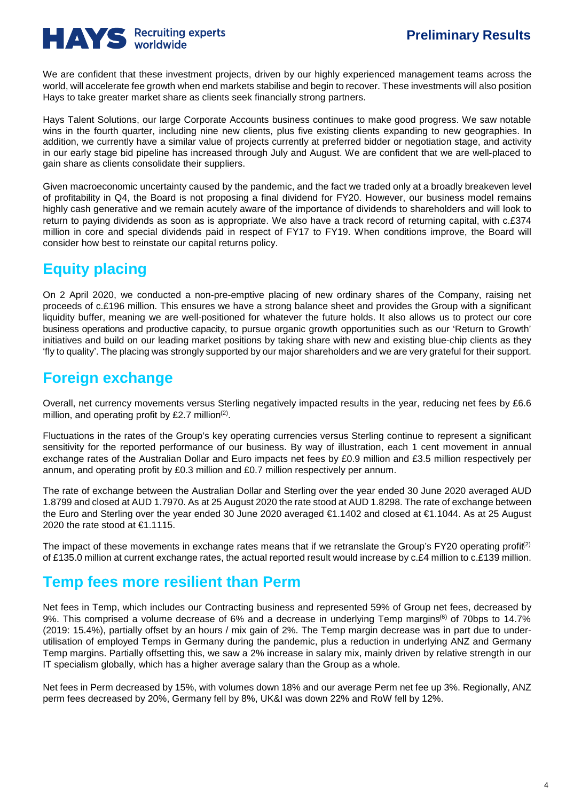## **HAYS** Recruiting experts

We are confident that these investment projects, driven by our highly experienced management teams across the world, will accelerate fee growth when end markets stabilise and begin to recover. These investments will also position Hays to take greater market share as clients seek financially strong partners.

Hays Talent Solutions, our large Corporate Accounts business continues to make good progress. We saw notable wins in the fourth quarter, including nine new clients, plus five existing clients expanding to new geographies. In addition, we currently have a similar value of projects currently at preferred bidder or negotiation stage, and activity in our early stage bid pipeline has increased through July and August. We are confident that we are well-placed to gain share as clients consolidate their suppliers.

Given macroeconomic uncertainty caused by the pandemic, and the fact we traded only at a broadly breakeven level of profitability in Q4, the Board is not proposing a final dividend for FY20. However, our business model remains highly cash generative and we remain acutely aware of the importance of dividends to shareholders and will look to return to paying dividends as soon as is appropriate. We also have a track record of returning capital, with c.£374 million in core and special dividends paid in respect of FY17 to FY19. When conditions improve, the Board will consider how best to reinstate our capital returns policy.

### **Equity placing**

On 2 April 2020, we conducted a non-pre-emptive placing of new ordinary shares of the Company, raising net proceeds of c.£196 million. This ensures we have a strong balance sheet and provides the Group with a significant liquidity buffer, meaning we are well-positioned for whatever the future holds. It also allows us to protect our core business operations and productive capacity, to pursue organic growth opportunities such as our 'Return to Growth' initiatives and build on our leading market positions by taking share with new and existing blue-chip clients as they 'fly to quality'. The placing was strongly supported by our major shareholders and we are very grateful for their support.

### **Foreign exchange**

Overall, net currency movements versus Sterling negatively impacted results in the year, reducing net fees by £6.6 million, and operating profit by £2.7 million<sup>(2)</sup>.

Fluctuations in the rates of the Group's key operating currencies versus Sterling continue to represent a significant sensitivity for the reported performance of our business. By way of illustration, each 1 cent movement in annual exchange rates of the Australian Dollar and Euro impacts net fees by £0.9 million and £3.5 million respectively per annum, and operating profit by £0.3 million and £0.7 million respectively per annum.

The rate of exchange between the Australian Dollar and Sterling over the year ended 30 June 2020 averaged AUD 1.8799 and closed at AUD 1.7970. As at 25 August 2020 the rate stood at AUD 1.8298. The rate of exchange between the Euro and Sterling over the year ended 30 June 2020 averaged €1.1402 and closed at €1.1044. As at 25 August 2020 the rate stood at €1.1115.

The impact of these movements in exchange rates means that if we retranslate the Group's FY20 operating profit<sup>(2)</sup> of £135.0 million at current exchange rates, the actual reported result would increase by c.£4 million to c.£139 million.

### **Temp fees more resilient than Perm**

Net fees in Temp, which includes our Contracting business and represented 59% of Group net fees, decreased by 9%. This comprised a volume decrease of 6% and a decrease in underlying Temp margins<sup>(6)</sup> of 70bps to 14.7% (2019: 15.4%), partially offset by an hours / mix gain of 2%. The Temp margin decrease was in part due to underutilisation of employed Temps in Germany during the pandemic, plus a reduction in underlying ANZ and Germany Temp margins. Partially offsetting this, we saw a 2% increase in salary mix, mainly driven by relative strength in our IT specialism globally, which has a higher average salary than the Group as a whole.

Net fees in Perm decreased by 15%, with volumes down 18% and our average Perm net fee up 3%. Regionally, ANZ perm fees decreased by 20%, Germany fell by 8%, UK&I was down 22% and RoW fell by 12%.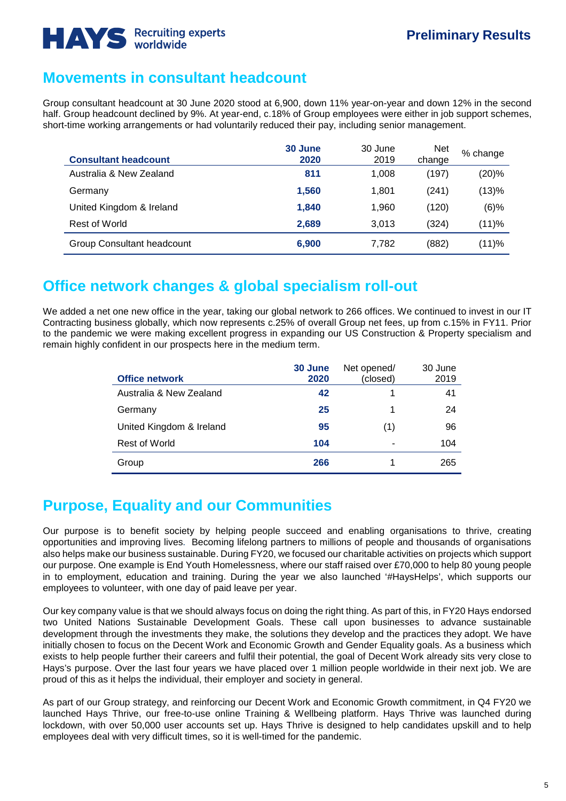

### **Movements in consultant headcount**

Group consultant headcount at 30 June 2020 stood at 6,900, down 11% year-on-year and down 12% in the second half. Group headcount declined by 9%. At year-end, c.18% of Group employees were either in job support schemes, short-time working arrangements or had voluntarily reduced their pay, including senior management.

| <b>Consultant headcount</b> | 30 June<br>2020 | 30 June<br>2019 | <b>Net</b><br>change | % change |
|-----------------------------|-----------------|-----------------|----------------------|----------|
| Australia & New Zealand     | 811             | 1.008           | (197)                | (20)%    |
| Germany                     | 1.560           | 1.801           | (241)                | (13)%    |
| United Kingdom & Ireland    | 1.840           | 1.960           | (120)                | $(6)$ %  |
| Rest of World               | 2,689           | 3.013           | (324)                | (11)%    |
| Group Consultant headcount  | 6,900           | 7.782           | (882)                | (11)%    |

### **Office network changes & global specialism roll-out**

We added a net one new office in the year, taking our global network to 266 offices. We continued to invest in our IT Contracting business globally, which now represents c.25% of overall Group net fees, up from c.15% in FY11. Prior to the pandemic we were making excellent progress in expanding our US Construction & Property specialism and remain highly confident in our prospects here in the medium term.

| <b>Office network</b>    | 30 June<br>2020 | Net opened/<br>(closed) | 30 June<br>2019 |
|--------------------------|-----------------|-------------------------|-----------------|
| Australia & New Zealand  | 42              |                         | 41              |
| Germany                  | 25              | 1                       | 24              |
| United Kingdom & Ireland | 95              | (1)                     | 96              |
| <b>Rest of World</b>     | 104             | ۰                       | 104             |
| Group                    | 266             |                         | 265             |

### **Purpose, Equality and our Communities**

Our purpose is to benefit society by helping people succeed and enabling organisations to thrive, creating opportunities and improving lives. Becoming lifelong partners to millions of people and thousands of organisations also helps make our business sustainable. During FY20, we focused our charitable activities on projects which support our purpose. One example is End Youth Homelessness, where our staff raised over £70,000 to help 80 young people in to employment, education and training. During the year we also launched '#HaysHelps', which supports our employees to volunteer, with one day of paid leave per year.

Our key company value is that we should always focus on doing the right thing. As part of this, in FY20 Hays endorsed two United Nations Sustainable Development Goals. These call upon businesses to advance sustainable development through the investments they make, the solutions they develop and the practices they adopt. We have initially chosen to focus on the Decent Work and Economic Growth and Gender Equality goals. As a business which exists to help people further their careers and fulfil their potential, the goal of Decent Work already sits very close to Hays's purpose. Over the last four years we have placed over 1 million people worldwide in their next job. We are proud of this as it helps the individual, their employer and society in general.

As part of our Group strategy, and reinforcing our Decent Work and Economic Growth commitment, in Q4 FY20 we launched Hays Thrive, our free-to-use online Training & Wellbeing platform. Hays Thrive was launched during lockdown, with over 50,000 user accounts set up. Hays Thrive is designed to help candidates upskill and to help employees deal with very difficult times, so it is well-timed for the pandemic.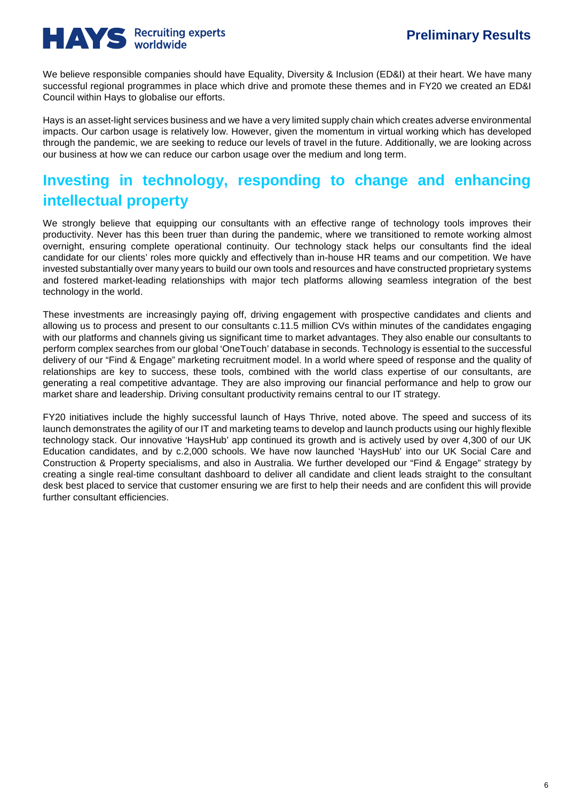We believe responsible companies should have Equality, Diversity & Inclusion (ED&I) at their heart. We have many successful regional programmes in place which drive and promote these themes and in FY20 we created an ED&I Council within Hays to globalise our efforts.

Hays is an asset-light services business and we have a very limited supply chain which creates adverse environmental impacts. Our carbon usage is relatively low. However, given the momentum in virtual working which has developed through the pandemic, we are seeking to reduce our levels of travel in the future. Additionally, we are looking across our business at how we can reduce our carbon usage over the medium and long term.

### **Investing in technology, responding to change and enhancing intellectual property**

We strongly believe that equipping our consultants with an effective range of technology tools improves their productivity. Never has this been truer than during the pandemic, where we transitioned to remote working almost overnight, ensuring complete operational continuity. Our technology stack helps our consultants find the ideal candidate for our clients' roles more quickly and effectively than in-house HR teams and our competition. We have invested substantially over many years to build our own tools and resources and have constructed proprietary systems and fostered market-leading relationships with major tech platforms allowing seamless integration of the best technology in the world.

These investments are increasingly paying off, driving engagement with prospective candidates and clients and allowing us to process and present to our consultants c.11.5 million CVs within minutes of the candidates engaging with our platforms and channels giving us significant time to market advantages. They also enable our consultants to perform complex searches from our global 'OneTouch' database in seconds. Technology is essential to the successful delivery of our "Find & Engage" marketing recruitment model. In a world where speed of response and the quality of relationships are key to success, these tools, combined with the world class expertise of our consultants, are generating a real competitive advantage. They are also improving our financial performance and help to grow our market share and leadership. Driving consultant productivity remains central to our IT strategy.

FY20 initiatives include the highly successful launch of Hays Thrive, noted above. The speed and success of its launch demonstrates the agility of our IT and marketing teams to develop and launch products using our highly flexible technology stack. Our innovative 'HaysHub' app continued its growth and is actively used by over 4,300 of our UK Education candidates, and by c.2,000 schools. We have now launched 'HaysHub' into our UK Social Care and Construction & Property specialisms, and also in Australia. We further developed our "Find & Engage" strategy by creating a single real-time consultant dashboard to deliver all candidate and client leads straight to the consultant desk best placed to service that customer ensuring we are first to help their needs and are confident this will provide further consultant efficiencies.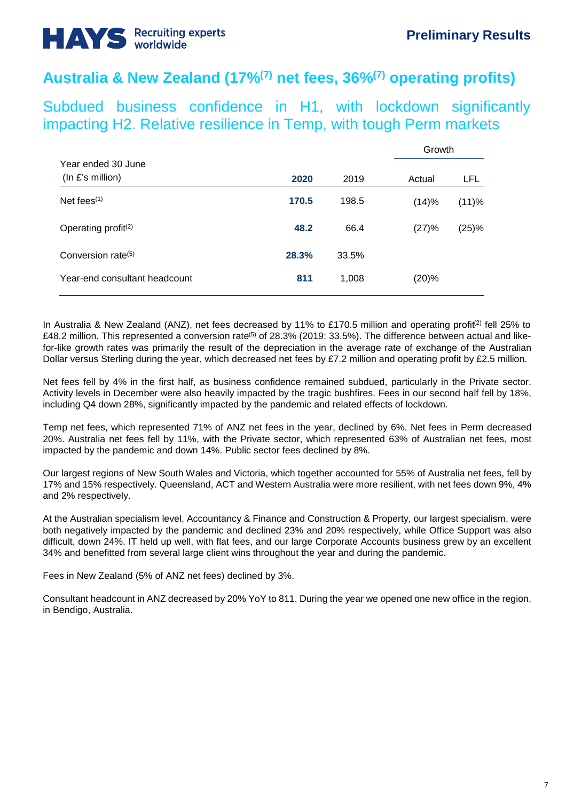### **Australia & New Zealand (17%(7) net fees, 36%(7) operating profits)**

Subdued business confidence in H1, with lockdown significantly impacting H2. Relative resilience in Temp, with tough Perm markets

|                                        |       |       | Growth |            |
|----------------------------------------|-------|-------|--------|------------|
| Year ended 30 June<br>(In E's million) | 2020  | 2019  | Actual | <b>LFL</b> |
| Net fees $(1)$                         | 170.5 | 198.5 | (14)%  | (11)%      |
| Operating profit <sup>(2)</sup>        | 48.2  | 66.4  | (27)%  | (25)%      |
| Conversion rate $(5)$                  | 28.3% | 33.5% |        |            |
| Year-end consultant headcount          | 811   | 1,008 | (20)%  |            |

In Australia & New Zealand (ANZ), net fees decreased by 11% to £170.5 million and operating profit<sup>(2)</sup> fell 25% to £48.2 million. This represented a conversion rate<sup>(5)</sup> of 28.3% (2019: 33.5%). The difference between actual and likefor-like growth rates was primarily the result of the depreciation in the average rate of exchange of the Australian Dollar versus Sterling during the year, which decreased net fees by £7.2 million and operating profit by £2.5 million.

Net fees fell by 4% in the first half, as business confidence remained subdued, particularly in the Private sector. Activity levels in December were also heavily impacted by the tragic bushfires. Fees in our second half fell by 18%, including Q4 down 28%, significantly impacted by the pandemic and related effects of lockdown.

Temp net fees, which represented 71% of ANZ net fees in the year, declined by 6%. Net fees in Perm decreased 20%. Australia net fees fell by 11%, with the Private sector, which represented 63% of Australian net fees, most impacted by the pandemic and down 14%. Public sector fees declined by 8%.

Our largest regions of New South Wales and Victoria, which together accounted for 55% of Australia net fees, fell by 17% and 15% respectively. Queensland, ACT and Western Australia were more resilient, with net fees down 9%, 4% and 2% respectively.

At the Australian specialism level, Accountancy & Finance and Construction & Property, our largest specialism, were both negatively impacted by the pandemic and declined 23% and 20% respectively, while Office Support was also difficult, down 24%. IT held up well, with flat fees, and our large Corporate Accounts business grew by an excellent 34% and benefitted from several large client wins throughout the year and during the pandemic.

Fees in New Zealand (5% of ANZ net fees) declined by 3%.

Consultant headcount in ANZ decreased by 20% YoY to 811. During the year we opened one new office in the region, in Bendigo, Australia.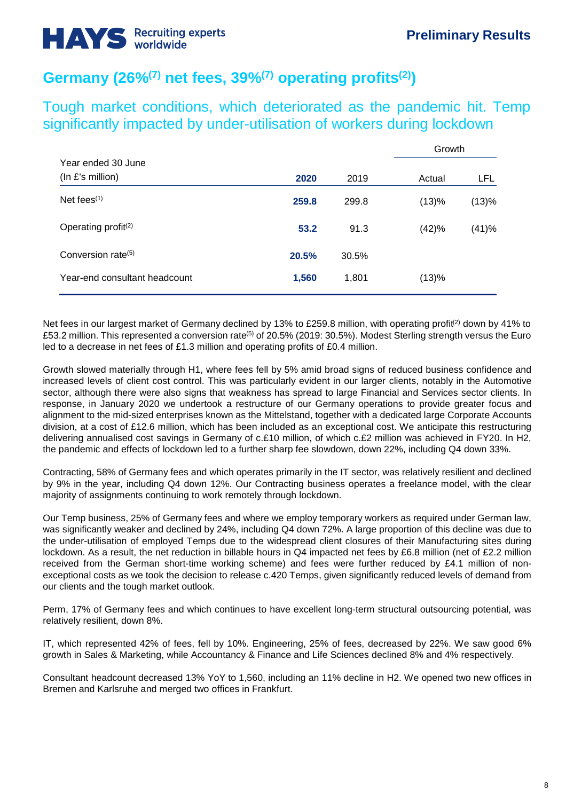### **Germany (26%(7) net fees, 39%(7) operating profits(2))**

Tough market conditions, which deteriorated as the pandemic hit. Temp significantly impacted by under-utilisation of workers during lockdown

|                                              |       |       | Growth |       |
|----------------------------------------------|-------|-------|--------|-------|
| Year ended 30 June<br>$($ ln £'s million $)$ | 2020  | 2019  | Actual | LFL   |
| Net fees $(1)$                               | 259.8 | 299.8 | (13)%  | (13)% |
| Operating profit <sup>(2)</sup>              | 53.2  | 91.3  | (42)%  | (41)% |
| Conversion rate <sup>(5)</sup>               | 20.5% | 30.5% |        |       |
| Year-end consultant headcount                | 1,560 | 1,801 | (13)%  |       |

Net fees in our largest market of Germany declined by 13% to £259.8 million, with operating profit<sup>(2)</sup> down by 41% to £53.2 million. This represented a conversion rate(5) of 20.5% (2019: 30.5%). Modest Sterling strength versus the Euro led to a decrease in net fees of £1.3 million and operating profits of £0.4 million.

Growth slowed materially through H1, where fees fell by 5% amid broad signs of reduced business confidence and increased levels of client cost control. This was particularly evident in our larger clients, notably in the Automotive sector, although there were also signs that weakness has spread to large Financial and Services sector clients. In response, in January 2020 we undertook a restructure of our Germany operations to provide greater focus and alignment to the mid-sized enterprises known as the Mittelstand, together with a dedicated large Corporate Accounts division, at a cost of £12.6 million, which has been included as an exceptional cost. We anticipate this restructuring delivering annualised cost savings in Germany of c.£10 million, of which c.£2 million was achieved in FY20. In H2, the pandemic and effects of lockdown led to a further sharp fee slowdown, down 22%, including Q4 down 33%.

Contracting, 58% of Germany fees and which operates primarily in the IT sector, was relatively resilient and declined by 9% in the year, including Q4 down 12%. Our Contracting business operates a freelance model, with the clear majority of assignments continuing to work remotely through lockdown.

Our Temp business, 25% of Germany fees and where we employ temporary workers as required under German law, was significantly weaker and declined by 24%, including Q4 down 72%. A large proportion of this decline was due to the under-utilisation of employed Temps due to the widespread client closures of their Manufacturing sites during lockdown. As a result, the net reduction in billable hours in Q4 impacted net fees by £6.8 million (net of £2.2 million received from the German short-time working scheme) and fees were further reduced by £4.1 million of nonexceptional costs as we took the decision to release c.420 Temps, given significantly reduced levels of demand from our clients and the tough market outlook.

Perm, 17% of Germany fees and which continues to have excellent long-term structural outsourcing potential, was relatively resilient, down 8%.

IT, which represented 42% of fees, fell by 10%. Engineering, 25% of fees, decreased by 22%. We saw good 6% growth in Sales & Marketing, while Accountancy & Finance and Life Sciences declined 8% and 4% respectively.

Consultant headcount decreased 13% YoY to 1,560, including an 11% decline in H2. We opened two new offices in Bremen and Karlsruhe and merged two offices in Frankfurt.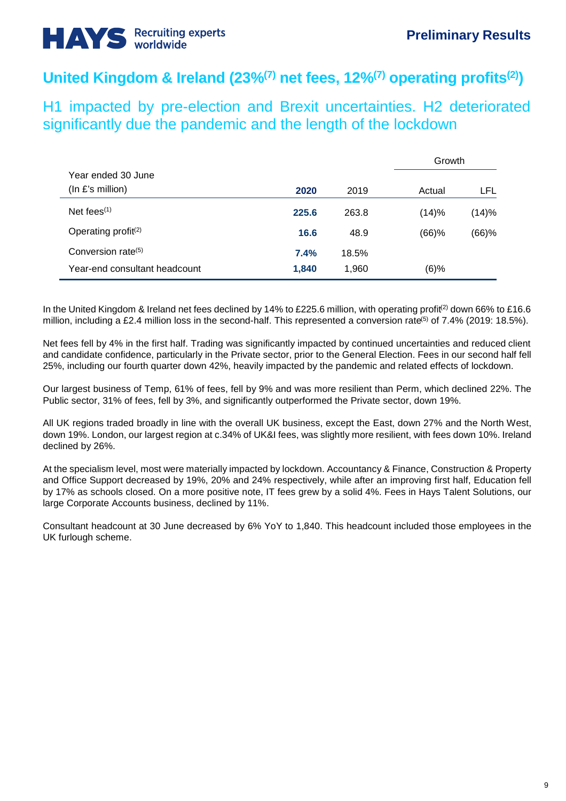### **United Kingdom & Ireland (23%(7) net fees, 12%(7) operating profits(2))**

H1 impacted by pre-election and Brexit uncertainties. H2 deteriorated significantly due the pandemic and the length of the lockdown

|                                 |       |       | Growth   |          |
|---------------------------------|-------|-------|----------|----------|
| Year ended 30 June              |       |       |          |          |
| (In £'s million)                | 2020  | 2019  | Actual   | LFL      |
| Net fees $(1)$                  | 225.6 | 263.8 | (14)%    | (14)%    |
| Operating profit <sup>(2)</sup> | 16.6  | 48.9  | $(66)$ % | $(66)$ % |
| Conversion rate <sup>(5)</sup>  | 7.4%  | 18.5% |          |          |
| Year-end consultant headcount   | 1,840 | 1,960 | $(6)$ %  |          |

In the United Kingdom & Ireland net fees declined by 14% to £225.6 million, with operating profit<sup>(2)</sup> down 66% to £16.6 million, including a £2.4 million loss in the second-half. This represented a conversion rate<sup>(5)</sup> of 7.4% (2019: 18.5%).

Net fees fell by 4% in the first half. Trading was significantly impacted by continued uncertainties and reduced client and candidate confidence, particularly in the Private sector, prior to the General Election. Fees in our second half fell 25%, including our fourth quarter down 42%, heavily impacted by the pandemic and related effects of lockdown.

Our largest business of Temp, 61% of fees, fell by 9% and was more resilient than Perm, which declined 22%. The Public sector, 31% of fees, fell by 3%, and significantly outperformed the Private sector, down 19%.

All UK regions traded broadly in line with the overall UK business, except the East, down 27% and the North West, down 19%. London, our largest region at c.34% of UK&I fees, was slightly more resilient, with fees down 10%. Ireland declined by 26%.

At the specialism level, most were materially impacted by lockdown. Accountancy & Finance, Construction & Property and Office Support decreased by 19%, 20% and 24% respectively, while after an improving first half, Education fell by 17% as schools closed. On a more positive note, IT fees grew by a solid 4%. Fees in Hays Talent Solutions, our large Corporate Accounts business, declined by 11%.

Consultant headcount at 30 June decreased by 6% YoY to 1,840. This headcount included those employees in the UK furlough scheme.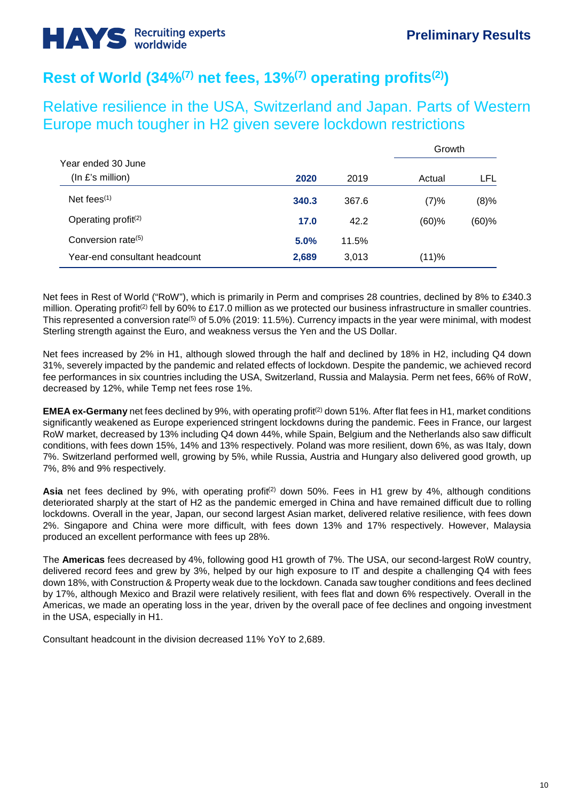### **Rest of World (34%(7) net fees, 13%(7) operating profits(2))**

Relative resilience in the USA, Switzerland and Japan. Parts of Western Europe much tougher in H2 given severe lockdown restrictions

|                                 |       |       | Growth |          |
|---------------------------------|-------|-------|--------|----------|
| Year ended 30 June              |       |       |        |          |
| (In £'s million)                | 2020  | 2019  | Actual | LFL      |
| Net fees $(1)$                  | 340.3 | 367.6 | (7)%   | (8)%     |
| Operating profit <sup>(2)</sup> | 17.0  | 42.2  | (60)%  | $(60)$ % |
| Conversion rate <sup>(5)</sup>  | 5.0%  | 11.5% |        |          |
| Year-end consultant headcount   | 2,689 | 3,013 | (11)%  |          |

Net fees in Rest of World ("RoW"), which is primarily in Perm and comprises 28 countries, declined by 8% to £340.3 million. Operating profit<sup>(2)</sup> fell by 60% to £17.0 million as we protected our business infrastructure in smaller countries. This represented a conversion rate<sup>(5)</sup> of 5.0% (2019: 11.5%). Currency impacts in the year were minimal, with modest Sterling strength against the Euro, and weakness versus the Yen and the US Dollar.

Net fees increased by 2% in H1, although slowed through the half and declined by 18% in H2, including Q4 down 31%, severely impacted by the pandemic and related effects of lockdown. Despite the pandemic, we achieved record fee performances in six countries including the USA, Switzerland, Russia and Malaysia. Perm net fees, 66% of RoW, decreased by 12%, while Temp net fees rose 1%.

**EMEA** ex-Germany net fees declined by 9%, with operating profit<sup>(2)</sup> down 51%. After flat fees in H1, market conditions significantly weakened as Europe experienced stringent lockdowns during the pandemic. Fees in France, our largest RoW market, decreased by 13% including Q4 down 44%, while Spain, Belgium and the Netherlands also saw difficult conditions, with fees down 15%, 14% and 13% respectively. Poland was more resilient, down 6%, as was Italy, down 7%. Switzerland performed well, growing by 5%, while Russia, Austria and Hungary also delivered good growth, up 7%, 8% and 9% respectively.

Asia net fees declined by 9%, with operating profit<sup>(2)</sup> down 50%. Fees in H1 grew by 4%, although conditions deteriorated sharply at the start of H2 as the pandemic emerged in China and have remained difficult due to rolling lockdowns. Overall in the year, Japan, our second largest Asian market, delivered relative resilience, with fees down 2%. Singapore and China were more difficult, with fees down 13% and 17% respectively. However, Malaysia produced an excellent performance with fees up 28%.

The **Americas** fees decreased by 4%, following good H1 growth of 7%. The USA, our second-largest RoW country, delivered record fees and grew by 3%, helped by our high exposure to IT and despite a challenging Q4 with fees down 18%, with Construction & Property weak due to the lockdown. Canada saw tougher conditions and fees declined by 17%, although Mexico and Brazil were relatively resilient, with fees flat and down 6% respectively. Overall in the Americas, we made an operating loss in the year, driven by the overall pace of fee declines and ongoing investment in the USA, especially in H1.

Consultant headcount in the division decreased 11% YoY to 2,689.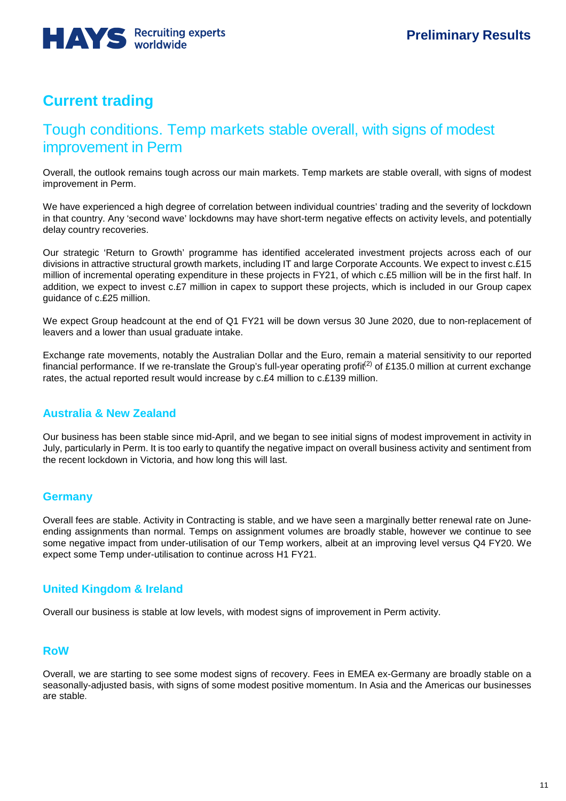### **Current trading**

### Tough conditions. Temp markets stable overall, with signs of modest improvement in Perm

Overall, the outlook remains tough across our main markets. Temp markets are stable overall, with signs of modest improvement in Perm.

We have experienced a high degree of correlation between individual countries' trading and the severity of lockdown in that country. Any 'second wave' lockdowns may have short-term negative effects on activity levels, and potentially delay country recoveries.

Our strategic 'Return to Growth' programme has identified accelerated investment projects across each of our divisions in attractive structural growth markets, including IT and large Corporate Accounts. We expect to invest c.£15 million of incremental operating expenditure in these projects in FY21, of which c.£5 million will be in the first half. In addition, we expect to invest c.£7 million in capex to support these projects, which is included in our Group capex guidance of c.£25 million.

We expect Group headcount at the end of Q1 FY21 will be down versus 30 June 2020, due to non-replacement of leavers and a lower than usual graduate intake.

Exchange rate movements, notably the Australian Dollar and the Euro, remain a material sensitivity to our reported financial performance. If we re-translate the Group's full-year operating profit<sup>(2)</sup> of £135.0 million at current exchange rates, the actual reported result would increase by c.£4 million to c.£139 million.

#### **Australia & New Zealand**

Our business has been stable since mid-April, and we began to see initial signs of modest improvement in activity in July, particularly in Perm. It is too early to quantify the negative impact on overall business activity and sentiment from the recent lockdown in Victoria, and how long this will last.

#### **Germany**

Overall fees are stable. Activity in Contracting is stable, and we have seen a marginally better renewal rate on Juneending assignments than normal. Temps on assignment volumes are broadly stable, however we continue to see some negative impact from under-utilisation of our Temp workers, albeit at an improving level versus Q4 FY20. We expect some Temp under-utilisation to continue across H1 FY21.

#### **United Kingdom & Ireland**

Overall our business is stable at low levels, with modest signs of improvement in Perm activity.

#### **RoW**

Overall, we are starting to see some modest signs of recovery. Fees in EMEA ex-Germany are broadly stable on a seasonally-adjusted basis, with signs of some modest positive momentum. In Asia and the Americas our businesses are stable.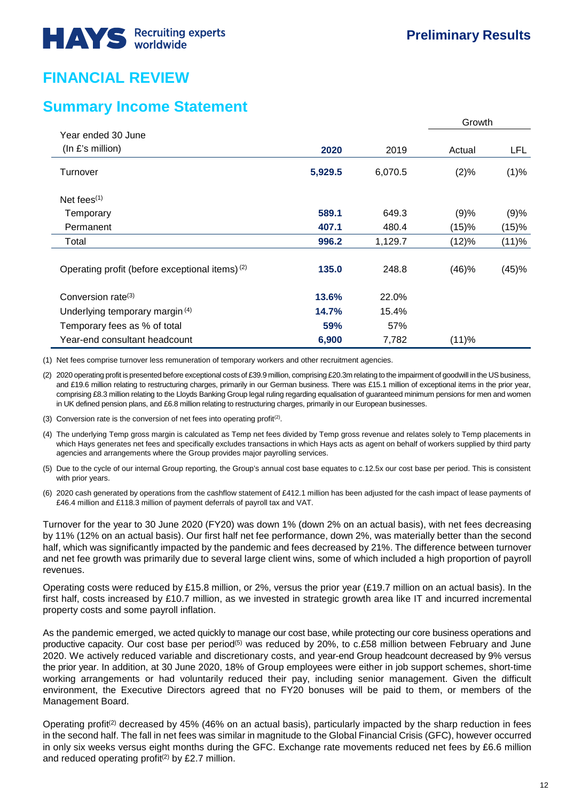

### **FINANCIAL REVIEW**

### **Summary Income Statement**

|                                                            |                    |         | Growth |       |
|------------------------------------------------------------|--------------------|---------|--------|-------|
| Year ended 30 June                                         |                    |         |        |       |
| (In f's million)                                           | 2020               | 2019    | Actual | LFL.  |
| Turnover                                                   | 5,929.5<br>6,070.5 |         | (2)%   | (1)%  |
| Net fees $(1)$                                             |                    |         |        |       |
| Temporary                                                  | 589.1              | 649.3   | (9)%   | (9)%  |
| Permanent                                                  | 407.1              | 480.4   | (15)%  | (15)% |
| Total                                                      | 996.2              | 1,129.7 | (12)%  | (11)% |
| Operating profit (before exceptional items) <sup>(2)</sup> | 135.0              | 248.8   | (46)%  | (45)% |
| Conversion rate $(3)$                                      | 13.6%              | 22.0%   |        |       |
| Underlying temporary margin (4)                            | 14.7%              | 15.4%   |        |       |
| Temporary fees as % of total                               | 59%                | 57%     |        |       |
| Year-end consultant headcount                              | 6,900              | 7,782   | (11)%  |       |

(1) Net fees comprise turnover less remuneration of temporary workers and other recruitment agencies.

(2) 2020 operating profit is presented before exceptional costs of £39.9 million, comprising £20.3m relating to the impairment of goodwill in the US business, and £19.6 million relating to restructuring charges, primarily in our German business. There was £15.1 million of exceptional items in the prior year, comprising £8.3 million relating to the Lloyds Banking Group legal ruling regarding equalisation of guaranteed minimum pensions for men and women in UK defined pension plans, and £6.8 million relating to restructuring charges, primarily in our European businesses.

- (3) Conversion rate is the conversion of net fees into operating profit<sup>(2)</sup>.
- (4) The underlying Temp gross margin is calculated as Temp net fees divided by Temp gross revenue and relates solely to Temp placements in which Hays generates net fees and specifically excludes transactions in which Hays acts as agent on behalf of workers supplied by third party agencies and arrangements where the Group provides major payrolling services.
- (5) Due to the cycle of our internal Group reporting, the Group's annual cost base equates to c.12.5x our cost base per period. This is consistent with prior years.
- (6) 2020 cash generated by operations from the cashflow statement of £412.1 million has been adjusted for the cash impact of lease payments of £46.4 million and £118.3 million of payment deferrals of payroll tax and VAT.

Turnover for the year to 30 June 2020 (FY20) was down 1% (down 2% on an actual basis), with net fees decreasing by 11% (12% on an actual basis). Our first half net fee performance, down 2%, was materially better than the second half, which was significantly impacted by the pandemic and fees decreased by 21%. The difference between turnover and net fee growth was primarily due to several large client wins, some of which included a high proportion of payroll revenues.

Operating costs were reduced by £15.8 million, or 2%, versus the prior year (£19.7 million on an actual basis). In the first half, costs increased by £10.7 million, as we invested in strategic growth area like IT and incurred incremental property costs and some payroll inflation.

As the pandemic emerged, we acted quickly to manage our cost base, while protecting our core business operations and productive capacity. Our cost base per period<sup>(5)</sup> was reduced by 20%, to c.£58 million between February and June 2020. We actively reduced variable and discretionary costs, and year-end Group headcount decreased by 9% versus the prior year. In addition, at 30 June 2020, 18% of Group employees were either in job support schemes, short-time working arrangements or had voluntarily reduced their pay, including senior management. Given the difficult environment, the Executive Directors agreed that no FY20 bonuses will be paid to them, or members of the Management Board.

Operating profit<sup>(2)</sup> decreased by 45% (46% on an actual basis), particularly impacted by the sharp reduction in fees in the second half. The fall in net fees was similar in magnitude to the Global Financial Crisis (GFC), however occurred in only six weeks versus eight months during the GFC. Exchange rate movements reduced net fees by £6.6 million and reduced operating profit<sup> $(2)$ </sup> by £2.7 million.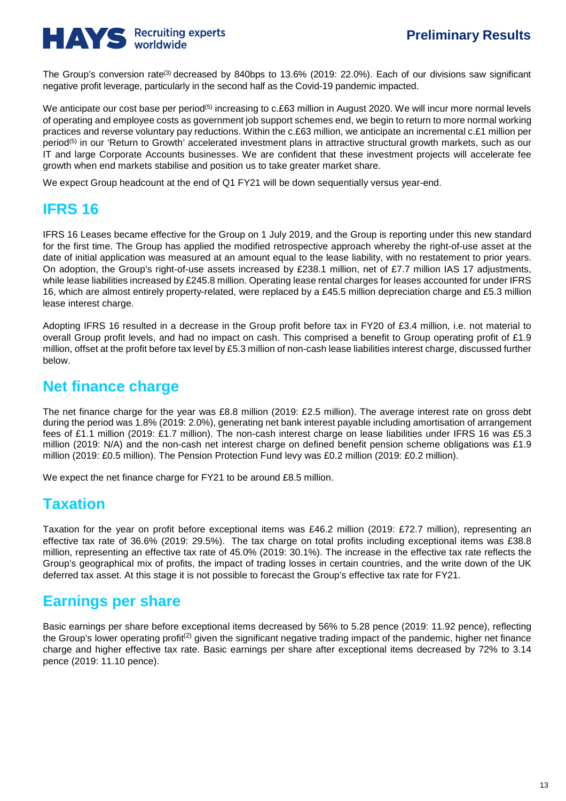## **HAYS** Recruiting experts

The Group's conversion rate<sup>(3)</sup> decreased by 840bps to 13.6% (2019: 22.0%). Each of our divisions saw significant negative profit leverage, particularly in the second half as the Covid-19 pandemic impacted.

We anticipate our cost base per period<sup>(5)</sup> increasing to c.£63 million in August 2020. We will incur more normal levels of operating and employee costs as government job support schemes end, we begin to return to more normal working practices and reverse voluntary pay reductions. Within the c.£63 million, we anticipate an incremental c.£1 million per period(5) in our 'Return to Growth' accelerated investment plans in attractive structural growth markets, such as our IT and large Corporate Accounts businesses. We are confident that these investment projects will accelerate fee growth when end markets stabilise and position us to take greater market share.

We expect Group headcount at the end of Q1 FY21 will be down sequentially versus year-end.

### **IFRS 16**

IFRS 16 Leases became effective for the Group on 1 July 2019, and the Group is reporting under this new standard for the first time. The Group has applied the modified retrospective approach whereby the right-of-use asset at the date of initial application was measured at an amount equal to the lease liability, with no restatement to prior years. On adoption, the Group's right-of-use assets increased by £238.1 million, net of £7.7 million IAS 17 adjustments, while lease liabilities increased by £245.8 million. Operating lease rental charges for leases accounted for under IFRS 16, which are almost entirely property-related, were replaced by a £45.5 million depreciation charge and £5.3 million lease interest charge.

Adopting IFRS 16 resulted in a decrease in the Group profit before tax in FY20 of £3.4 million, i.e. not material to overall Group profit levels, and had no impact on cash. This comprised a benefit to Group operating profit of £1.9 million, offset at the profit before tax level by £5.3 million of non-cash lease liabilities interest charge, discussed further below.

### **Net finance charge**

The net finance charge for the year was £8.8 million (2019: £2.5 million). The average interest rate on gross debt during the period was 1.8% (2019: 2.0%), generating net bank interest payable including amortisation of arrangement fees of £1.1 million (2019: £1.7 million). The non-cash interest charge on lease liabilities under IFRS 16 was £5.3 million (2019: N/A) and the non-cash net interest charge on defined benefit pension scheme obligations was £1.9 million (2019: £0.5 million). The Pension Protection Fund levy was £0.2 million (2019: £0.2 million).

We expect the net finance charge for FY21 to be around £8.5 million.

### **Taxation**

Taxation for the year on profit before exceptional items was £46.2 million (2019: £72.7 million), representing an effective tax rate of 36.6% (2019: 29.5%). The tax charge on total profits including exceptional items was £38.8 million, representing an effective tax rate of 45.0% (2019: 30.1%). The increase in the effective tax rate reflects the Group's geographical mix of profits, the impact of trading losses in certain countries, and the write down of the UK deferred tax asset. At this stage it is not possible to forecast the Group's effective tax rate for FY21.

### **Earnings per share**

Basic earnings per share before exceptional items decreased by 56% to 5.28 pence (2019: 11.92 pence), reflecting the Group's lower operating profit<sup>(2)</sup> given the significant negative trading impact of the pandemic, higher net finance charge and higher effective tax rate. Basic earnings per share after exceptional items decreased by 72% to 3.14 pence (2019: 11.10 pence).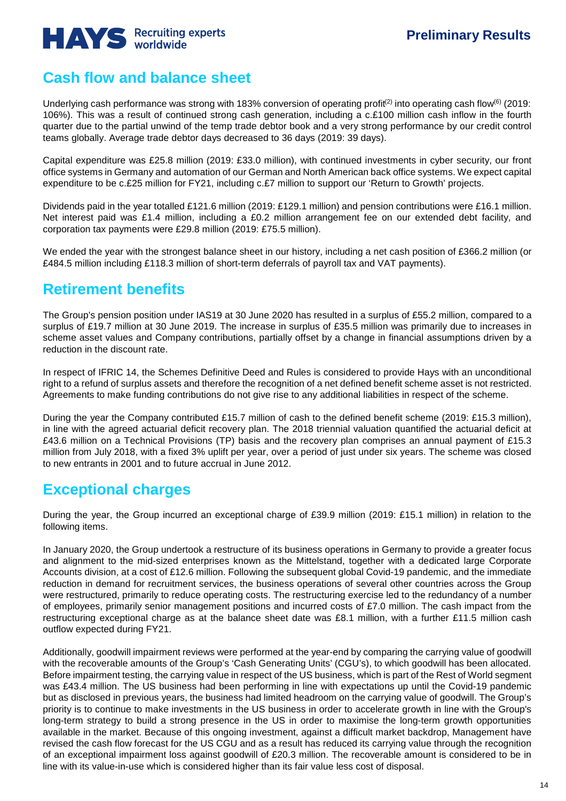### **Cash flow and balance sheet**

Underlying cash performance was strong with 183% conversion of operating profit<sup>(2)</sup> into operating cash flow<sup>(6)</sup> (2019: 106%). This was a result of continued strong cash generation, including a c.£100 million cash inflow in the fourth quarter due to the partial unwind of the temp trade debtor book and a very strong performance by our credit control teams globally. Average trade debtor days decreased to 36 days (2019: 39 days).

Capital expenditure was £25.8 million (2019: £33.0 million), with continued investments in cyber security, our front office systems in Germany and automation of our German and North American back office systems. We expect capital expenditure to be c.£25 million for FY21, including c.£7 million to support our 'Return to Growth' projects.

Dividends paid in the year totalled £121.6 million (2019: £129.1 million) and pension contributions were £16.1 million. Net interest paid was £1.4 million, including a £0.2 million arrangement fee on our extended debt facility, and corporation tax payments were £29.8 million (2019: £75.5 million).

We ended the year with the strongest balance sheet in our history, including a net cash position of £366.2 million (or £484.5 million including £118.3 million of short-term deferrals of payroll tax and VAT payments).

### **Retirement benefits**

The Group's pension position under IAS19 at 30 June 2020 has resulted in a surplus of £55.2 million, compared to a surplus of £19.7 million at 30 June 2019. The increase in surplus of £35.5 million was primarily due to increases in scheme asset values and Company contributions, partially offset by a change in financial assumptions driven by a reduction in the discount rate.

In respect of IFRIC 14, the Schemes Definitive Deed and Rules is considered to provide Hays with an unconditional right to a refund of surplus assets and therefore the recognition of a net defined benefit scheme asset is not restricted. Agreements to make funding contributions do not give rise to any additional liabilities in respect of the scheme.

During the year the Company contributed £15.7 million of cash to the defined benefit scheme (2019: £15.3 million), in line with the agreed actuarial deficit recovery plan. The 2018 triennial valuation quantified the actuarial deficit at £43.6 million on a Technical Provisions (TP) basis and the recovery plan comprises an annual payment of £15.3 million from July 2018, with a fixed 3% uplift per year, over a period of just under six years. The scheme was closed to new entrants in 2001 and to future accrual in June 2012.

### **Exceptional charges**

During the year, the Group incurred an exceptional charge of £39.9 million (2019: £15.1 million) in relation to the following items.

In January 2020, the Group undertook a restructure of its business operations in Germany to provide a greater focus and alignment to the mid-sized enterprises known as the Mittelstand, together with a dedicated large Corporate Accounts division, at a cost of £12.6 million. Following the subsequent global Covid-19 pandemic, and the immediate reduction in demand for recruitment services, the business operations of several other countries across the Group were restructured, primarily to reduce operating costs. The restructuring exercise led to the redundancy of a number of employees, primarily senior management positions and incurred costs of £7.0 million. The cash impact from the restructuring exceptional charge as at the balance sheet date was £8.1 million, with a further £11.5 million cash outflow expected during FY21.

Additionally, goodwill impairment reviews were performed at the year-end by comparing the carrying value of goodwill with the recoverable amounts of the Group's 'Cash Generating Units' (CGU's), to which goodwill has been allocated. Before impairment testing, the carrying value in respect of the US business, which is part of the Rest of World segment was £43.4 million. The US business had been performing in line with expectations up until the Covid-19 pandemic but as disclosed in previous years, the business had limited headroom on the carrying value of goodwill. The Group's priority is to continue to make investments in the US business in order to accelerate growth in line with the Group's long-term strategy to build a strong presence in the US in order to maximise the long-term growth opportunities available in the market. Because of this ongoing investment, against a difficult market backdrop, Management have revised the cash flow forecast for the US CGU and as a result has reduced its carrying value through the recognition of an exceptional impairment loss against goodwill of £20.3 million. The recoverable amount is considered to be in line with its value-in-use which is considered higher than its fair value less cost of disposal.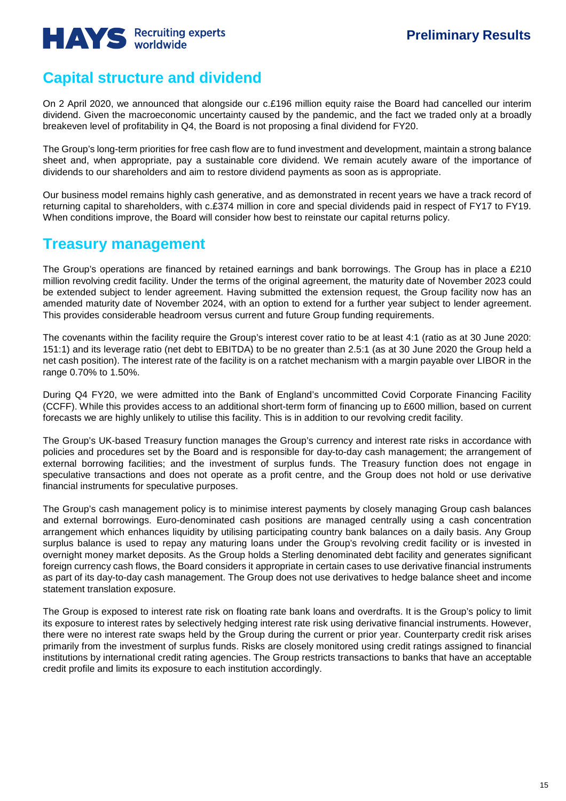### **Capital structure and dividend**

On 2 April 2020, we announced that alongside our c.£196 million equity raise the Board had cancelled our interim dividend. Given the macroeconomic uncertainty caused by the pandemic, and the fact we traded only at a broadly breakeven level of profitability in Q4, the Board is not proposing a final dividend for FY20.

The Group's long-term priorities for free cash flow are to fund investment and development, maintain a strong balance sheet and, when appropriate, pay a sustainable core dividend. We remain acutely aware of the importance of dividends to our shareholders and aim to restore dividend payments as soon as is appropriate.

Our business model remains highly cash generative, and as demonstrated in recent years we have a track record of returning capital to shareholders, with c.£374 million in core and special dividends paid in respect of FY17 to FY19. When conditions improve, the Board will consider how best to reinstate our capital returns policy.

### **Treasury management**

The Group's operations are financed by retained earnings and bank borrowings. The Group has in place a £210 million revolving credit facility. Under the terms of the original agreement, the maturity date of November 2023 could be extended subject to lender agreement. Having submitted the extension request, the Group facility now has an amended maturity date of November 2024, with an option to extend for a further year subject to lender agreement. This provides considerable headroom versus current and future Group funding requirements.

The covenants within the facility require the Group's interest cover ratio to be at least 4:1 (ratio as at 30 June 2020: 151:1) and its leverage ratio (net debt to EBITDA) to be no greater than 2.5:1 (as at 30 June 2020 the Group held a net cash position). The interest rate of the facility is on a ratchet mechanism with a margin payable over LIBOR in the range 0.70% to 1.50%.

During Q4 FY20, we were admitted into the Bank of England's uncommitted Covid Corporate Financing Facility (CCFF). While this provides access to an additional short-term form of financing up to £600 million, based on current forecasts we are highly unlikely to utilise this facility. This is in addition to our revolving credit facility.

The Group's UK-based Treasury function manages the Group's currency and interest rate risks in accordance with policies and procedures set by the Board and is responsible for day-to-day cash management; the arrangement of external borrowing facilities; and the investment of surplus funds. The Treasury function does not engage in speculative transactions and does not operate as a profit centre, and the Group does not hold or use derivative financial instruments for speculative purposes.

The Group's cash management policy is to minimise interest payments by closely managing Group cash balances and external borrowings. Euro-denominated cash positions are managed centrally using a cash concentration arrangement which enhances liquidity by utilising participating country bank balances on a daily basis. Any Group surplus balance is used to repay any maturing loans under the Group's revolving credit facility or is invested in overnight money market deposits. As the Group holds a Sterling denominated debt facility and generates significant foreign currency cash flows, the Board considers it appropriate in certain cases to use derivative financial instruments as part of its day-to-day cash management. The Group does not use derivatives to hedge balance sheet and income statement translation exposure.

The Group is exposed to interest rate risk on floating rate bank loans and overdrafts. It is the Group's policy to limit its exposure to interest rates by selectively hedging interest rate risk using derivative financial instruments. However, there were no interest rate swaps held by the Group during the current or prior year. Counterparty credit risk arises primarily from the investment of surplus funds. Risks are closely monitored using credit ratings assigned to financial institutions by international credit rating agencies. The Group restricts transactions to banks that have an acceptable credit profile and limits its exposure to each institution accordingly.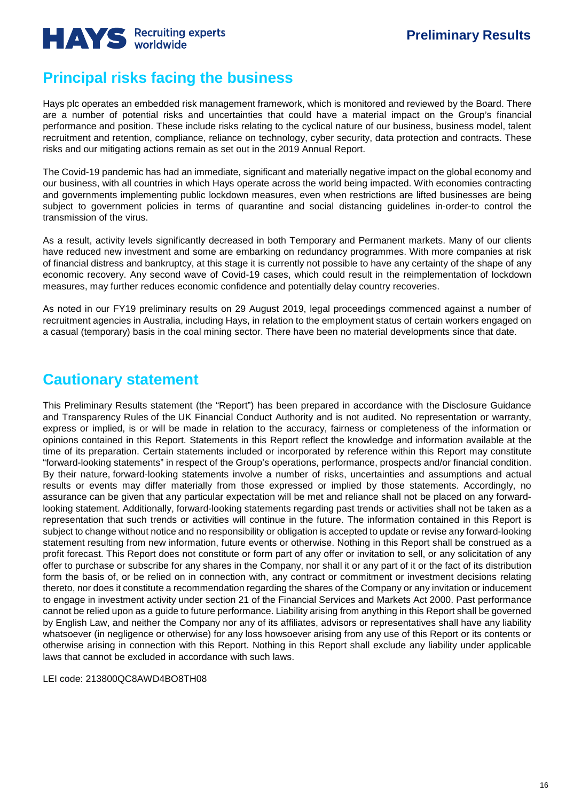### **Principal risks facing the business**

Hays plc operates an embedded risk management framework, which is monitored and reviewed by the Board. There are a number of potential risks and uncertainties that could have a material impact on the Group's financial performance and position. These include risks relating to the cyclical nature of our business, business model, talent recruitment and retention, compliance, reliance on technology, cyber security, data protection and contracts. These risks and our mitigating actions remain as set out in the 2019 Annual Report.

The Covid-19 pandemic has had an immediate, significant and materially negative impact on the global economy and our business, with all countries in which Hays operate across the world being impacted. With economies contracting and governments implementing public lockdown measures, even when restrictions are lifted businesses are being subject to government policies in terms of quarantine and social distancing guidelines in-order-to control the transmission of the virus.

As a result, activity levels significantly decreased in both Temporary and Permanent markets. Many of our clients have reduced new investment and some are embarking on redundancy programmes. With more companies at risk of financial distress and bankruptcy, at this stage it is currently not possible to have any certainty of the shape of any economic recovery. Any second wave of Covid-19 cases, which could result in the reimplementation of lockdown measures, may further reduces economic confidence and potentially delay country recoveries.

As noted in our FY19 preliminary results on 29 August 2019, legal proceedings commenced against a number of recruitment agencies in Australia, including Hays, in relation to the employment status of certain workers engaged on a casual (temporary) basis in the coal mining sector. There have been no material developments since that date.

### **Cautionary statement**

This Preliminary Results statement (the "Report") has been prepared in accordance with the Disclosure Guidance and Transparency Rules of the UK Financial Conduct Authority and is not audited. No representation or warranty, express or implied, is or will be made in relation to the accuracy, fairness or completeness of the information or opinions contained in this Report. Statements in this Report reflect the knowledge and information available at the time of its preparation. Certain statements included or incorporated by reference within this Report may constitute "forward-looking statements" in respect of the Group's operations, performance, prospects and/or financial condition. By their nature, forward-looking statements involve a number of risks, uncertainties and assumptions and actual results or events may differ materially from those expressed or implied by those statements. Accordingly, no assurance can be given that any particular expectation will be met and reliance shall not be placed on any forwardlooking statement. Additionally, forward-looking statements regarding past trends or activities shall not be taken as a representation that such trends or activities will continue in the future. The information contained in this Report is subject to change without notice and no responsibility or obligation is accepted to update or revise any forward-looking statement resulting from new information, future events or otherwise. Nothing in this Report shall be construed as a profit forecast. This Report does not constitute or form part of any offer or invitation to sell, or any solicitation of any offer to purchase or subscribe for any shares in the Company, nor shall it or any part of it or the fact of its distribution form the basis of, or be relied on in connection with, any contract or commitment or investment decisions relating thereto, nor does it constitute a recommendation regarding the shares of the Company or any invitation or inducement to engage in investment activity under section 21 of the Financial Services and Markets Act 2000. Past performance cannot be relied upon as a guide to future performance. Liability arising from anything in this Report shall be governed by English Law, and neither the Company nor any of its affiliates, advisors or representatives shall have any liability whatsoever (in negligence or otherwise) for any loss howsoever arising from any use of this Report or its contents or otherwise arising in connection with this Report. Nothing in this Report shall exclude any liability under applicable laws that cannot be excluded in accordance with such laws.

LEI code: 213800QC8AWD4BO8TH08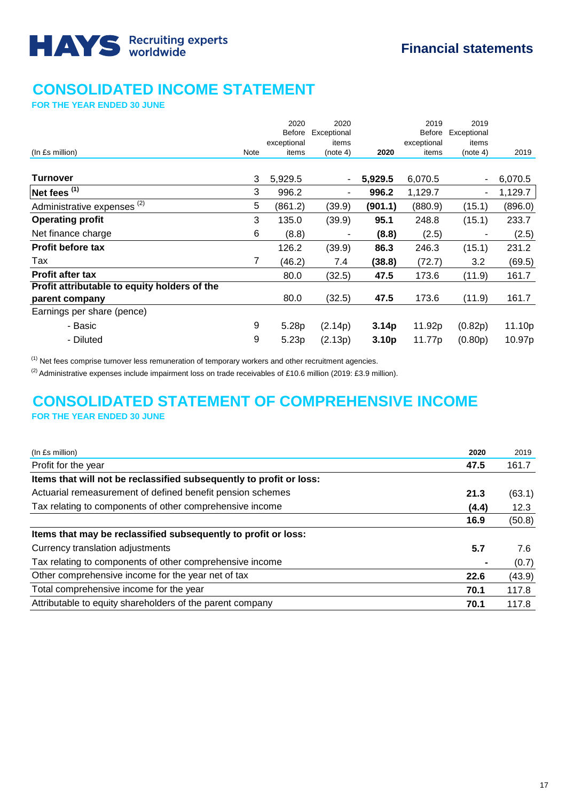

### **CONSOLIDATED INCOME STATEMENT**

**FOR THE YEAR ENDED 30 JUNE**

|                                              |      | 2020<br><b>Before</b><br>exceptional | 2020<br>Exceptional<br>items |                   | 2019<br>Before<br>exceptional | 2019<br>Exceptional<br>items |         |
|----------------------------------------------|------|--------------------------------------|------------------------------|-------------------|-------------------------------|------------------------------|---------|
| (In £s million)                              | Note | items                                | (note 4)                     | 2020              | items                         | (note 4)                     | 2019    |
| <b>Turnover</b>                              | 3    | 5,929.5                              |                              | 5,929.5           | 6,070.5                       | $\overline{\phantom{a}}$     | 6,070.5 |
| Net fees <sup>(1)</sup>                      | 3    | 996.2                                |                              | 996.2             | 1,129.7                       | $\blacksquare$               | 1,129.7 |
| Administrative expenses <sup>(2)</sup>       | 5    | (861.2)                              | (39.9)                       | (901.1)           | (880.9)                       | (15.1)                       | (896.0) |
| <b>Operating profit</b>                      | 3    | 135.0                                | (39.9)                       | 95.1              | 248.8                         | (15.1)                       | 233.7   |
| Net finance charge                           | 6    | (8.8)                                |                              | (8.8)             | (2.5)                         |                              | (2.5)   |
| <b>Profit before tax</b>                     |      | 126.2                                | (39.9)                       | 86.3              | 246.3                         | (15.1)                       | 231.2   |
| Tax                                          | 7    | (46.2)                               | 7.4                          | (38.8)            | (72.7)                        | 3.2                          | (69.5)  |
| <b>Profit after tax</b>                      |      | 80.0                                 | (32.5)                       | 47.5              | 173.6                         | (11.9)                       | 161.7   |
| Profit attributable to equity holders of the |      |                                      |                              |                   |                               |                              |         |
| parent company                               |      | 80.0                                 | (32.5)                       | 47.5              | 173.6                         | (11.9)                       | 161.7   |
| Earnings per share (pence)                   |      |                                      |                              |                   |                               |                              |         |
| - Basic                                      | 9    | 5.28p                                | (2.14p)                      | 3.14 <sub>p</sub> | 11.92p                        | (0.82p)                      | 11.10p  |
| - Diluted                                    | 9    | 5.23p                                | (2.13p)                      | 3.10p             | 11.77p                        | (0.80p)                      | 10.97p  |

 $<sup>(1)</sup>$  Net fees comprise turnover less remuneration of temporary workers and other recruitment agencies.</sup>

 $(2)$  Administrative expenses include impairment loss on trade receivables of £10.6 million (2019: £3.9 million).

#### **CONSOLIDATED STATEMENT OF COMPREHENSIVE INCOME FOR THE YEAR ENDED 30 JUNE**

| (In £s million)                                                     | 2020           | 2019   |
|---------------------------------------------------------------------|----------------|--------|
| Profit for the year                                                 | 47.5           | 161.7  |
| Items that will not be reclassified subsequently to profit or loss: |                |        |
| Actuarial remeasurement of defined benefit pension schemes          | 21.3           | (63.1) |
| Tax relating to components of other comprehensive income            | (4.4)          | 12.3   |
|                                                                     | 16.9           | (50.8) |
| Items that may be reclassified subsequently to profit or loss:      |                |        |
| Currency translation adjustments                                    | 5.7            | 7.6    |
| Tax relating to components of other comprehensive income            | $\blacksquare$ | (0.7)  |
| Other comprehensive income for the year net of tax                  | 22.6           | (43.9) |
| Total comprehensive income for the year                             | 70.1           | 117.8  |
| Attributable to equity shareholders of the parent company           | 70.1           | 117.8  |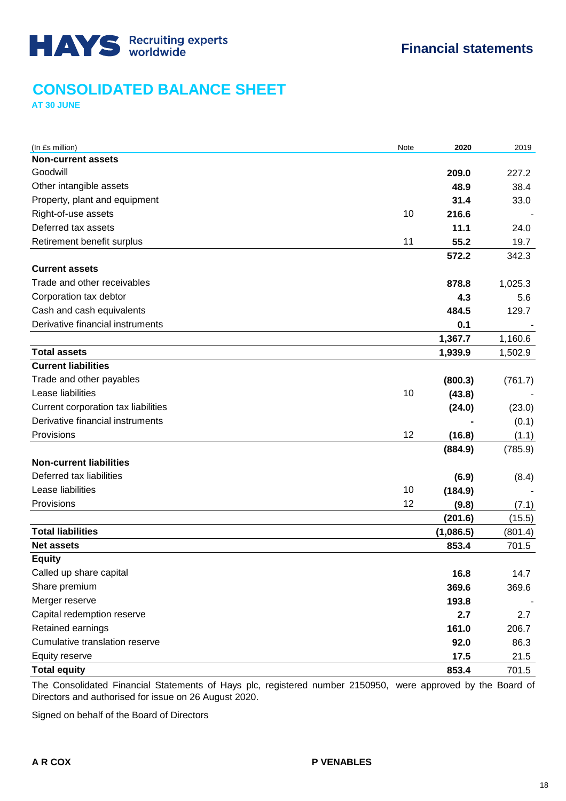

### **CONSOLIDATED BALANCE SHEET**

**AT 30 JUNE**

| (In £s million)                     | Note | 2020      | 2019    |
|-------------------------------------|------|-----------|---------|
| <b>Non-current assets</b>           |      |           |         |
| Goodwill                            |      | 209.0     | 227.2   |
| Other intangible assets             |      | 48.9      | 38.4    |
| Property, plant and equipment       |      | 31.4      | 33.0    |
| Right-of-use assets                 | 10   | 216.6     |         |
| Deferred tax assets                 |      | 11.1      | 24.0    |
| Retirement benefit surplus          | 11   | 55.2      | 19.7    |
|                                     |      | 572.2     | 342.3   |
| <b>Current assets</b>               |      |           |         |
| Trade and other receivables         |      | 878.8     | 1,025.3 |
| Corporation tax debtor              |      | 4.3       | 5.6     |
| Cash and cash equivalents           |      | 484.5     | 129.7   |
| Derivative financial instruments    |      | 0.1       |         |
|                                     |      | 1,367.7   | 1,160.6 |
| <b>Total assets</b>                 |      | 1,939.9   | 1,502.9 |
| <b>Current liabilities</b>          |      |           |         |
| Trade and other payables            |      | (800.3)   | (761.7) |
| Lease liabilities                   | 10   | (43.8)    |         |
| Current corporation tax liabilities |      | (24.0)    | (23.0)  |
| Derivative financial instruments    |      |           | (0.1)   |
| Provisions                          | 12   | (16.8)    | (1.1)   |
|                                     |      | (884.9)   | (785.9) |
| <b>Non-current liabilities</b>      |      |           |         |
| Deferred tax liabilities            |      | (6.9)     | (8.4)   |
| Lease liabilities                   | 10   | (184.9)   |         |
| Provisions                          | 12   | (9.8)     | (7.1)   |
|                                     |      | (201.6)   | (15.5)  |
| <b>Total liabilities</b>            |      | (1,086.5) | (801.4) |
| <b>Net assets</b>                   |      | 853.4     | 701.5   |
| <b>Equity</b>                       |      |           |         |
| Called up share capital             |      | 16.8      | 14.7    |
| Share premium                       |      | 369.6     | 369.6   |
| Merger reserve                      |      | 193.8     |         |
| Capital redemption reserve          |      | 2.7       | 2.7     |
| Retained earnings                   |      | 161.0     | 206.7   |
| Cumulative translation reserve      |      | 92.0      | 86.3    |
| Equity reserve                      |      | 17.5      | 21.5    |
| <b>Total equity</b>                 |      | 853.4     | 701.5   |

The Consolidated Financial Statements of Hays plc, registered number 2150950, were approved by the Board of Directors and authorised for issue on 26 August 2020.

Signed on behalf of the Board of Directors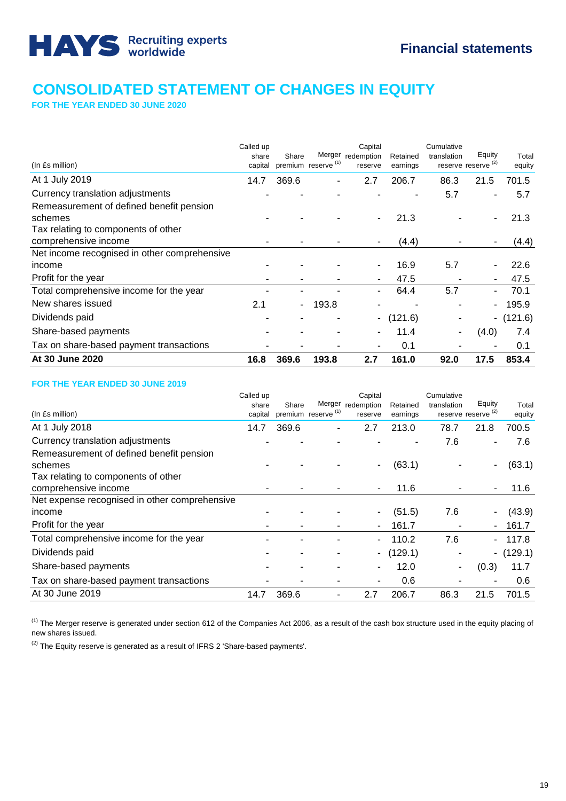

### **CONSOLIDATED STATEMENT OF CHANGES IN EQUITY**

**FOR THE YEAR ENDED 30 JUNE 2020**

|                                              | Called up<br>share | Share | Merger              | Capital<br>redemption | Retained | Cumulative<br>translation | Equity                         | Total       |
|----------------------------------------------|--------------------|-------|---------------------|-----------------------|----------|---------------------------|--------------------------------|-------------|
| (In £s million)                              | capital            |       | premium reserve (1) | reserve               | earnings |                           | reserve reserve <sup>(2)</sup> | equity      |
| At 1 July 2019                               | 14.7               | 369.6 | ۰                   | 2.7                   | 206.7    | 86.3                      | 21.5                           | 701.5       |
| Currency translation adjustments             |                    |       |                     |                       |          | 5.7                       |                                | 5.7         |
| Remeasurement of defined benefit pension     |                    |       |                     |                       |          |                           |                                |             |
| schemes                                      |                    |       |                     | $\blacksquare$        | 21.3     |                           |                                | 21.3        |
| Tax relating to components of other          |                    |       |                     |                       |          |                           |                                |             |
| comprehensive income                         |                    |       |                     | ٠                     | (4.4)    |                           |                                | (4.4)       |
| Net income recognised in other comprehensive |                    |       |                     |                       |          |                           |                                |             |
| income                                       |                    |       |                     |                       | 16.9     | 5.7                       |                                | 22.6        |
| Profit for the year                          |                    |       |                     |                       | 47.5     |                           |                                | 47.5        |
| Total comprehensive income for the year      |                    |       |                     | $\blacksquare$        | 64.4     | 5.7                       |                                | 70.1        |
| New shares issued                            | 2.1                |       | 193.8               |                       |          |                           |                                | 195.9       |
| Dividends paid                               |                    |       |                     | ٠                     | (121.6)  |                           |                                | $- (121.6)$ |
| Share-based payments                         |                    |       |                     |                       | 11.4     | ٠                         | (4.0)                          | 7.4         |
| Tax on share-based payment transactions      |                    |       |                     |                       | 0.1      |                           |                                | 0.1         |
| At 30 June 2020                              | 16.8               | 369.6 | 193.8               | 2.7                   | 161.0    | 92.0                      | 17.5                           | 853.4       |

#### **FOR THE YEAR ENDED 30 JUNE 2019**

|                                               | Called up |       |                     | Capital                  |          | Cumulative  |                                |             |
|-----------------------------------------------|-----------|-------|---------------------|--------------------------|----------|-------------|--------------------------------|-------------|
|                                               | share     | Share | Merger              | redemption               | Retained | translation | Equity                         | Total       |
| (In £s million)                               | capital   |       | premium reserve (1) | reserve                  | earnings |             | reserve reserve <sup>(2)</sup> | equity      |
| At 1 July 2018                                | 14.7      | 369.6 |                     | 2.7                      | 213.0    | 78.7        | 21.8                           | 700.5       |
| Currency translation adjustments              |           |       |                     |                          |          | 7.6         |                                | 7.6         |
| Remeasurement of defined benefit pension      |           |       |                     |                          |          |             |                                |             |
| schemes                                       |           |       |                     | $\overline{\phantom{a}}$ | (63.1)   |             |                                | (63.1)      |
| Tax relating to components of other           |           |       |                     |                          |          |             |                                |             |
| comprehensive income                          |           |       |                     | $\overline{\phantom{a}}$ | 11.6     |             | ۰.                             | 11.6        |
| Net expense recognised in other comprehensive |           |       |                     |                          |          |             |                                |             |
| income                                        |           |       |                     | $\blacksquare$           | (51.5)   | 7.6         |                                | (43.9)      |
| Profit for the year                           |           |       |                     | $\blacksquare$           | 161.7    |             | $\sim$                         | 161.7       |
| Total comprehensive income for the year       |           |       |                     | $\blacksquare$           | 110.2    | 7.6         | $\sim$                         | 117.8       |
| Dividends paid                                |           | ۰     |                     | $\blacksquare$           | (129.1)  |             |                                | $- (129.1)$ |
| Share-based payments                          |           |       |                     | $\overline{\phantom{a}}$ | 12.0     | ٠           | (0.3)                          | 11.7        |
| Tax on share-based payment transactions       |           |       |                     | $\blacksquare$           | 0.6      |             | -                              | 0.6         |
| At 30 June 2019                               | 14.7      | 369.6 | ٠                   | 2.7                      | 206.7    | 86.3        | 21.5                           | 701.5       |

<sup>(1)</sup> The Merger reserve is generated under section 612 of the Companies Act 2006, as a result of the cash box structure used in the equity placing of new shares issued.

<sup>(2)</sup> The Equity reserve is generated as a result of IFRS 2 'Share-based payments'.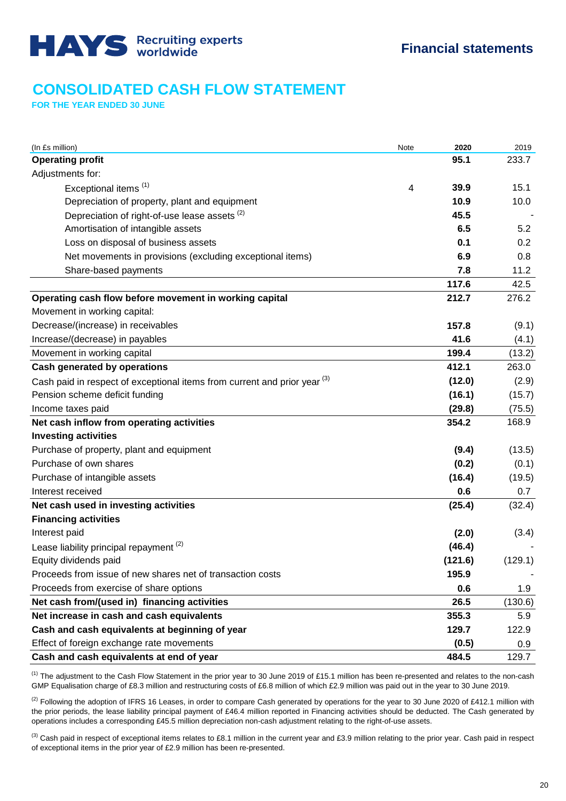

### **CONSOLIDATED CASH FLOW STATEMENT**

**FOR THE YEAR ENDED 30 JUNE**

| (In £s million)                                                                      | Note | 2020    | 2019    |
|--------------------------------------------------------------------------------------|------|---------|---------|
| <b>Operating profit</b>                                                              |      | 95.1    | 233.7   |
| Adjustments for:                                                                     |      |         |         |
| Exceptional items <sup>(1)</sup>                                                     | 4    | 39.9    | 15.1    |
| Depreciation of property, plant and equipment                                        |      | 10.9    | 10.0    |
| Depreciation of right-of-use lease assets <sup>(2)</sup>                             |      | 45.5    |         |
| Amortisation of intangible assets                                                    |      | 6.5     | 5.2     |
| Loss on disposal of business assets                                                  |      | 0.1     | 0.2     |
| Net movements in provisions (excluding exceptional items)                            |      | 6.9     | 0.8     |
| Share-based payments                                                                 |      | 7.8     | 11.2    |
|                                                                                      |      | 117.6   | 42.5    |
| Operating cash flow before movement in working capital                               |      | 212.7   | 276.2   |
| Movement in working capital:                                                         |      |         |         |
| Decrease/(increase) in receivables                                                   |      | 157.8   | (9.1)   |
| Increase/(decrease) in payables                                                      |      | 41.6    | (4.1)   |
| Movement in working capital                                                          |      | 199.4   | (13.2)  |
| <b>Cash generated by operations</b>                                                  |      | 412.1   | 263.0   |
| Cash paid in respect of exceptional items from current and prior year <sup>(3)</sup> |      | (12.0)  | (2.9)   |
| Pension scheme deficit funding                                                       |      | (16.1)  | (15.7)  |
| Income taxes paid                                                                    |      | (29.8)  | (75.5)  |
| Net cash inflow from operating activities                                            |      | 354.2   | 168.9   |
| <b>Investing activities</b>                                                          |      |         |         |
| Purchase of property, plant and equipment                                            |      | (9.4)   | (13.5)  |
| Purchase of own shares                                                               |      | (0.2)   | (0.1)   |
| Purchase of intangible assets                                                        |      | (16.4)  | (19.5)  |
| Interest received                                                                    |      | 0.6     | 0.7     |
| Net cash used in investing activities                                                |      | (25.4)  | (32.4)  |
| <b>Financing activities</b>                                                          |      |         |         |
| Interest paid                                                                        |      | (2.0)   | (3.4)   |
| Lease liability principal repayment <sup>(2)</sup>                                   |      | (46.4)  |         |
| Equity dividends paid                                                                |      | (121.6) | (129.1) |
| Proceeds from issue of new shares net of transaction costs                           |      | 195.9   |         |
| Proceeds from exercise of share options                                              |      | 0.6     | 1.9     |
| Net cash from/(used in) financing activities                                         |      | 26.5    | (130.6) |
| Net increase in cash and cash equivalents                                            |      | 355.3   | 5.9     |
| Cash and cash equivalents at beginning of year                                       |      | 129.7   | 122.9   |
| Effect of foreign exchange rate movements                                            |      | (0.5)   | 0.9     |
| Cash and cash equivalents at end of year                                             |      | 484.5   | 129.7   |

 $<sup>(1)</sup>$  The adjustment to the Cash Flow Statement in the prior year to 30 June 2019 of £15.1 million has been re-presented and relates to the non-cash</sup> GMP Equalisation charge of £8.3 million and restructuring costs of £6.8 million of which £2.9 million was paid out in the year to 30 June 2019.

<sup>(2)</sup> Following the adoption of IFRS 16 Leases, in order to compare Cash generated by operations for the year to 30 June 2020 of £412.1 million with the prior periods, the lease liability principal payment of £46.4 million reported in Financing activities should be deducted. The Cash generated by operations includes a corresponding £45.5 million depreciation non-cash adjustment relating to the right-of-use assets.

 $^{(3)}$  Cash paid in respect of exceptional items relates to £8.1 million in the current year and £3.9 million relating to the prior year. Cash paid in respect of exceptional items in the prior year of £2.9 million has been re-presented.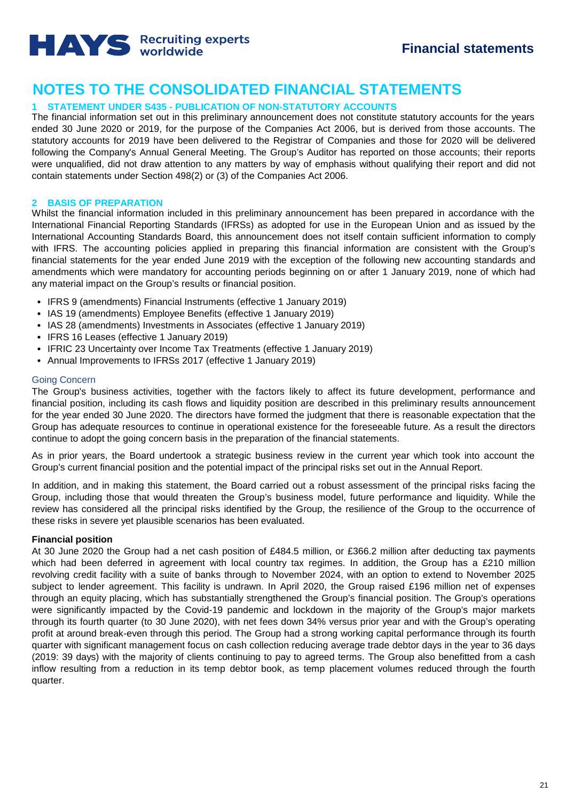

### **NOTES TO THE CONSOLIDATED FINANCIAL STATEMENTS**

#### **1 STATEMENT UNDER S435 - PUBLICATION OF NON-STATUTORY ACCOUNTS**

The financial information set out in this preliminary announcement does not constitute statutory accounts for the years ended 30 June 2020 or 2019, for the purpose of the Companies Act 2006, but is derived from those accounts. The statutory accounts for 2019 have been delivered to the Registrar of Companies and those for 2020 will be delivered following the Company's Annual General Meeting. The Group's Auditor has reported on those accounts; their reports were unqualified, did not draw attention to any matters by way of emphasis without qualifying their report and did not contain statements under Section 498(2) or (3) of the Companies Act 2006.

#### **2 BASIS OF PREPARATION**

Whilst the financial information included in this preliminary announcement has been prepared in accordance with the International Financial Reporting Standards (IFRSs) as adopted for use in the European Union and as issued by the International Accounting Standards Board, this announcement does not itself contain sufficient information to comply with IFRS. The accounting policies applied in preparing this financial information are consistent with the Group's financial statements for the year ended June 2019 with the exception of the following new accounting standards and amendments which were mandatory for accounting periods beginning on or after 1 January 2019, none of which had any material impact on the Group's results or financial position.

- IFRS 9 (amendments) Financial Instruments (effective 1 January 2019)
- IAS 19 (amendments) Employee Benefits (effective 1 January 2019)
- IAS 28 (amendments) Investments in Associates (effective 1 January 2019)
- IFRS 16 Leases (effective 1 January 2019)
- IFRIC 23 Uncertainty over Income Tax Treatments (effective 1 January 2019)
- Annual Improvements to IFRSs 2017 (effective 1 January 2019)

#### Going Concern

The Group's business activities, together with the factors likely to affect its future development, performance and financial position, including its cash flows and liquidity position are described in this preliminary results announcement for the year ended 30 June 2020. The directors have formed the judgment that there is reasonable expectation that the Group has adequate resources to continue in operational existence for the foreseeable future. As a result the directors continue to adopt the going concern basis in the preparation of the financial statements.

As in prior years, the Board undertook a strategic business review in the current year which took into account the Group's current financial position and the potential impact of the principal risks set out in the Annual Report.

In addition, and in making this statement, the Board carried out a robust assessment of the principal risks facing the Group, including those that would threaten the Group's business model, future performance and liquidity. While the review has considered all the principal risks identified by the Group, the resilience of the Group to the occurrence of these risks in severe yet plausible scenarios has been evaluated.

#### **Financial position**

At 30 June 2020 the Group had a net cash position of £484.5 million, or £366.2 million after deducting tax payments which had been deferred in agreement with local country tax regimes. In addition, the Group has a £210 million revolving credit facility with a suite of banks through to November 2024, with an option to extend to November 2025 subject to lender agreement. This facility is undrawn. In April 2020, the Group raised £196 million net of expenses through an equity placing, which has substantially strengthened the Group's financial position. The Group's operations were significantly impacted by the Covid-19 pandemic and lockdown in the majority of the Group's major markets through its fourth quarter (to 30 June 2020), with net fees down 34% versus prior year and with the Group's operating profit at around break-even through this period. The Group had a strong working capital performance through its fourth quarter with significant management focus on cash collection reducing average trade debtor days in the year to 36 days (2019: 39 days) with the majority of clients continuing to pay to agreed terms. The Group also benefitted from a cash inflow resulting from a reduction in its temp debtor book, as temp placement volumes reduced through the fourth quarter.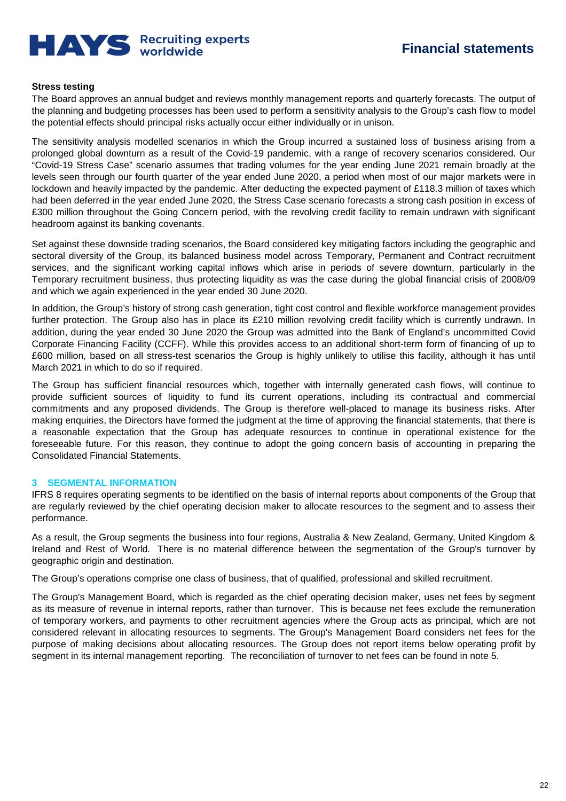

#### **Stress testing**

The Board approves an annual budget and reviews monthly management reports and quarterly forecasts. The output of the planning and budgeting processes has been used to perform a sensitivity analysis to the Group's cash flow to model the potential effects should principal risks actually occur either individually or in unison.

The sensitivity analysis modelled scenarios in which the Group incurred a sustained loss of business arising from a prolonged global downturn as a result of the Covid-19 pandemic, with a range of recovery scenarios considered. Our "Covid-19 Stress Case" scenario assumes that trading volumes for the year ending June 2021 remain broadly at the levels seen through our fourth quarter of the year ended June 2020, a period when most of our major markets were in lockdown and heavily impacted by the pandemic. After deducting the expected payment of £118.3 million of taxes which had been deferred in the year ended June 2020, the Stress Case scenario forecasts a strong cash position in excess of £300 million throughout the Going Concern period, with the revolving credit facility to remain undrawn with significant headroom against its banking covenants.

Set against these downside trading scenarios, the Board considered key mitigating factors including the geographic and sectoral diversity of the Group, its balanced business model across Temporary, Permanent and Contract recruitment services, and the significant working capital inflows which arise in periods of severe downturn, particularly in the Temporary recruitment business, thus protecting liquidity as was the case during the global financial crisis of 2008/09 and which we again experienced in the year ended 30 June 2020.

In addition, the Group's history of strong cash generation, tight cost control and flexible workforce management provides further protection. The Group also has in place its £210 million revolving credit facility which is currently undrawn. In addition, during the year ended 30 June 2020 the Group was admitted into the Bank of England's uncommitted Covid Corporate Financing Facility (CCFF). While this provides access to an additional short-term form of financing of up to £600 million, based on all stress-test scenarios the Group is highly unlikely to utilise this facility, although it has until March 2021 in which to do so if required.

The Group has sufficient financial resources which, together with internally generated cash flows, will continue to provide sufficient sources of liquidity to fund its current operations, including its contractual and commercial commitments and any proposed dividends. The Group is therefore well-placed to manage its business risks. After making enquiries, the Directors have formed the judgment at the time of approving the financial statements, that there is a reasonable expectation that the Group has adequate resources to continue in operational existence for the foreseeable future. For this reason, they continue to adopt the going concern basis of accounting in preparing the Consolidated Financial Statements.

#### **3 SEGMENTAL INFORMATION**

IFRS 8 requires operating segments to be identified on the basis of internal reports about components of the Group that are regularly reviewed by the chief operating decision maker to allocate resources to the segment and to assess their performance.

As a result, the Group segments the business into four regions, Australia & New Zealand, Germany, United Kingdom & Ireland and Rest of World. There is no material difference between the segmentation of the Group's turnover by geographic origin and destination.

The Group's operations comprise one class of business, that of qualified, professional and skilled recruitment.

The Group's Management Board, which is regarded as the chief operating decision maker, uses net fees by segment as its measure of revenue in internal reports, rather than turnover. This is because net fees exclude the remuneration of temporary workers, and payments to other recruitment agencies where the Group acts as principal, which are not considered relevant in allocating resources to segments. The Group's Management Board considers net fees for the purpose of making decisions about allocating resources. The Group does not report items below operating profit by segment in its internal management reporting. The reconciliation of turnover to net fees can be found in note 5.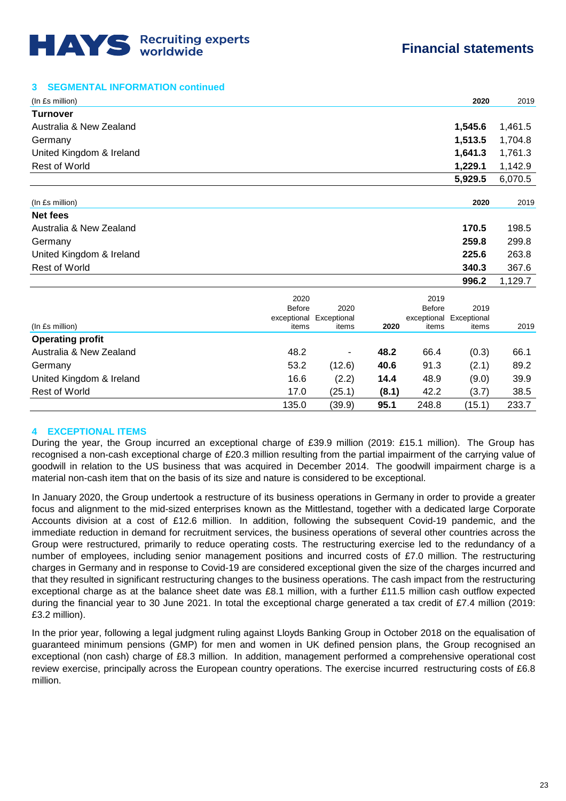

135.0 (39.9) **95.1** 248.8 (15.1) 233.7

#### **3 SEGMENTAL INFORMATION continued**

| (In £s million)          |               |                                 |       |                              | 2020                | 2019    |
|--------------------------|---------------|---------------------------------|-------|------------------------------|---------------------|---------|
| <b>Turnover</b>          |               |                                 |       |                              |                     |         |
| Australia & New Zealand  |               |                                 |       |                              | 1,545.6             | 1,461.5 |
| Germany                  |               |                                 |       |                              | 1,513.5             | 1,704.8 |
| United Kingdom & Ireland |               |                                 |       |                              | 1,641.3             | 1,761.3 |
| <b>Rest of World</b>     |               |                                 |       |                              | 1,229.1             | 1,142.9 |
|                          |               |                                 |       |                              | 5,929.5             | 6,070.5 |
| (In £s million)          |               |                                 |       |                              | 2020                | 2019    |
| Net fees                 |               |                                 |       |                              |                     |         |
| Australia & New Zealand  |               |                                 |       |                              | 170.5               | 198.5   |
| Germany                  |               |                                 |       |                              | 259.8               | 299.8   |
| United Kingdom & Ireland |               |                                 |       |                              | 225.6               | 263.8   |
| <b>Rest of World</b>     |               |                                 |       |                              | 340.3               | 367.6   |
|                          |               |                                 |       |                              | 996.2               | 1,129.7 |
|                          | 2020          |                                 |       | 2019                         |                     |         |
|                          | <b>Before</b> | 2020<br>exceptional Exceptional |       | <b>Before</b><br>exceptional | 2019<br>Exceptional |         |
| (In £s million)          | items         | items                           | 2020  | items                        | items               | 2019    |
| <b>Operating profit</b>  |               |                                 |       |                              |                     |         |
| Australia & New Zealand  | 48.2          |                                 | 48.2  | 66.4                         | (0.3)               | 66.1    |
| Germany                  | 53.2          | (12.6)                          | 40.6  | 91.3                         | (2.1)               | 89.2    |
| United Kingdom & Ireland | 16.6          | (2.2)                           | 14.4  | 48.9                         | (9.0)               | 39.9    |
| <b>Rest of World</b>     | 17.0          | (25.1)                          | (8.1) | 42.2                         | (3.7)               | 38.5    |

#### **4 EXCEPTIONAL ITEMS**

During the year, the Group incurred an exceptional charge of £39.9 million (2019: £15.1 million). The Group has recognised a non-cash exceptional charge of £20.3 million resulting from the partial impairment of the carrying value of goodwill in relation to the US business that was acquired in December 2014. The goodwill impairment charge is a material non-cash item that on the basis of its size and nature is considered to be exceptional.

In January 2020, the Group undertook a restructure of its business operations in Germany in order to provide a greater focus and alignment to the mid-sized enterprises known as the Mittlestand, together with a dedicated large Corporate Accounts division at a cost of £12.6 million. In addition, following the subsequent Covid-19 pandemic, and the immediate reduction in demand for recruitment services, the business operations of several other countries across the Group were restructured, primarily to reduce operating costs. The restructuring exercise led to the redundancy of a number of employees, including senior management positions and incurred costs of £7.0 million. The restructuring charges in Germany and in response to Covid-19 are considered exceptional given the size of the charges incurred and that they resulted in significant restructuring changes to the business operations. The cash impact from the restructuring exceptional charge as at the balance sheet date was £8.1 million, with a further £11.5 million cash outflow expected during the financial year to 30 June 2021. In total the exceptional charge generated a tax credit of £7.4 million (2019: £3.2 million).

In the prior year, following a legal judgment ruling against Lloyds Banking Group in October 2018 on the equalisation of guaranteed minimum pensions (GMP) for men and women in UK defined pension plans, the Group recognised an exceptional (non cash) charge of £8.3 million. In addition, management performed a comprehensive operational cost review exercise, principally across the European country operations. The exercise incurred restructuring costs of £6.8 million.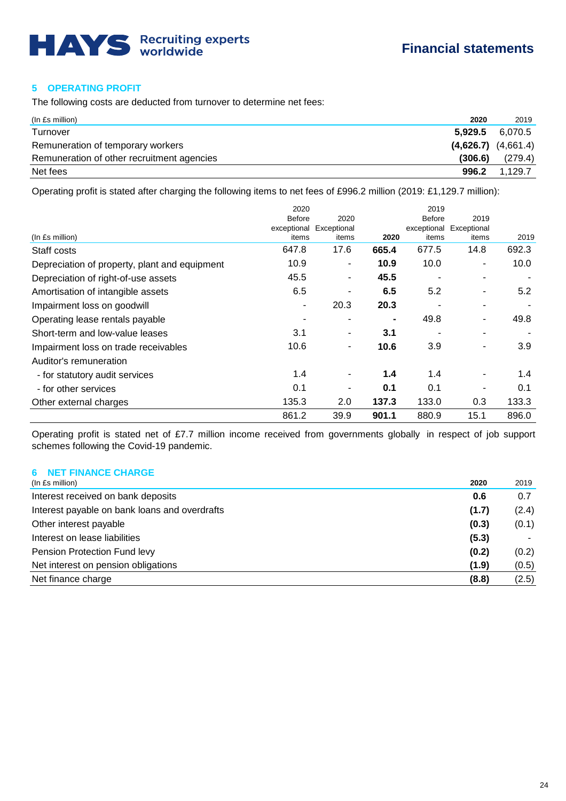

#### **5 OPERATING PROFIT**

The following costs are deducted from turnover to determine net fees:

| (In £s million)                            | 2020    | 2019                    |
|--------------------------------------------|---------|-------------------------|
| Turnover                                   |         | <b>5,929.5</b> 6,070.5  |
| Remuneration of temporary workers          |         | $(4,626.7)$ $(4,661.4)$ |
| Remuneration of other recruitment agencies | (306.6) | (279.4)                 |
| Net fees                                   | 996.2   | 1.129.7                 |

Operating profit is stated after charging the following items to net fees of £996.2 million (2019: £1,129.7 million):

|                                               | 2020                     |                |       | 2019          |             |       |
|-----------------------------------------------|--------------------------|----------------|-------|---------------|-------------|-------|
|                                               | <b>Before</b>            | 2020           |       | <b>Before</b> | 2019        |       |
|                                               | exceptional              | Exceptional    |       | exceptional   | Exceptional |       |
| (In £s million)                               | items                    | items          | 2020  | items         | items       | 2019  |
| Staff costs                                   | 647.8                    | 17.6           | 665.4 | 677.5         | 14.8        | 692.3 |
| Depreciation of property, plant and equipment | 10.9                     | ۰              | 10.9  | 10.0          |             | 10.0  |
| Depreciation of right-of-use assets           | 45.5                     | ۰              | 45.5  |               |             |       |
| Amortisation of intangible assets             | 6.5                      |                | 6.5   | 5.2           |             | 5.2   |
| Impairment loss on goodwill                   | $\blacksquare$           | 20.3           | 20.3  |               |             |       |
| Operating lease rentals payable               | $\overline{\phantom{a}}$ |                |       | 49.8          |             | 49.8  |
| Short-term and low-value leases               | 3.1                      | $\blacksquare$ | 3.1   |               |             |       |
| Impairment loss on trade receivables          | 10.6                     | ۰              | 10.6  | 3.9           |             | 3.9   |
| Auditor's remuneration                        |                          |                |       |               |             |       |
| - for statutory audit services                | 1.4                      |                | 1.4   | 1.4           |             | 1.4   |
| - for other services                          | 0.1                      |                | 0.1   | 0.1           |             | 0.1   |
| Other external charges                        | 135.3                    | 2.0            | 137.3 | 133.0         | 0.3         | 133.3 |
|                                               | 861.2                    | 39.9           | 901.1 | 880.9         | 15.1        | 896.0 |

Operating profit is stated net of £7.7 million income received from governments globally in respect of job support schemes following the Covid-19 pandemic.

#### **6 NET FINANCE CHARGE**

| (In £s million)                               | 2020  | 2019  |
|-----------------------------------------------|-------|-------|
| Interest received on bank deposits            | 0.6   | 0.7   |
| Interest payable on bank loans and overdrafts | (1.7) | (2.4) |
| Other interest payable                        | (0.3) | (0.1) |
| Interest on lease liabilities                 | (5.3) |       |
| Pension Protection Fund levy                  | (0.2) | (0.2) |
| Net interest on pension obligations           | (1.9) | (0.5) |
| Net finance charge                            | (8.8) | (2.5) |
|                                               |       |       |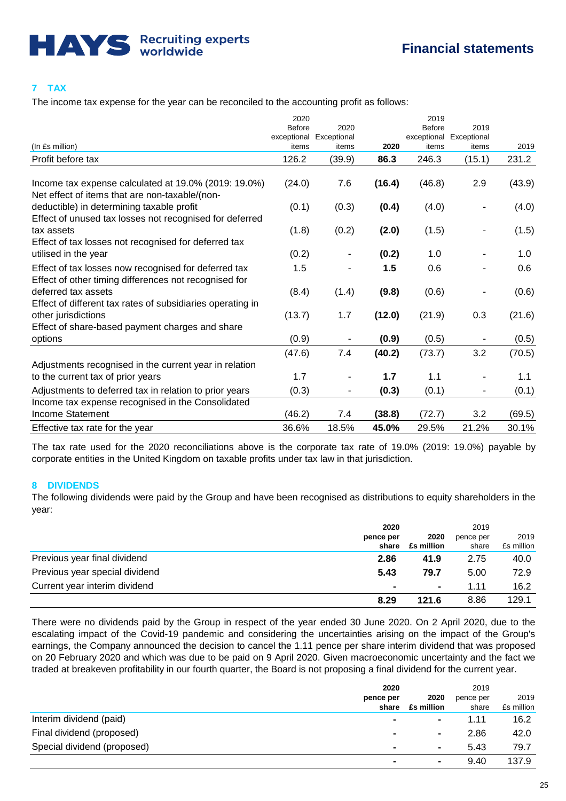

#### **7 TAX**

The income tax expense for the year can be reconciled to the accounting profit as follows:

|                                                                                                                                      | 2020          |                         |        | 2019          |                         |        |
|--------------------------------------------------------------------------------------------------------------------------------------|---------------|-------------------------|--------|---------------|-------------------------|--------|
|                                                                                                                                      | <b>Before</b> | 2020                    |        | <b>Before</b> | 2019                    |        |
|                                                                                                                                      |               | exceptional Exceptional |        |               | exceptional Exceptional |        |
| (In £s million)                                                                                                                      | items         | items                   | 2020   | items         | items                   | 2019   |
| Profit before tax                                                                                                                    | 126.2         | (39.9)                  | 86.3   | 246.3         | (15.1)                  | 231.2  |
| Income tax expense calculated at 19.0% (2019: 19.0%)<br>Net effect of items that are non-taxable/(non-                               | (24.0)        | 7.6                     | (16.4) | (46.8)        | 2.9                     | (43.9) |
| deductible) in determining taxable profit                                                                                            | (0.1)         | (0.3)                   | (0.4)  | (4.0)         |                         | (4.0)  |
| Effect of unused tax losses not recognised for deferred<br>tax assets<br>Effect of tax losses not recognised for deferred tax        | (1.8)         | (0.2)                   | (2.0)  | (1.5)         |                         | (1.5)  |
| utilised in the year                                                                                                                 | (0.2)         |                         | (0.2)  | 1.0           |                         | 1.0    |
| Effect of tax losses now recognised for deferred tax<br>Effect of other timing differences not recognised for                        | 1.5           |                         | 1.5    | 0.6           |                         | 0.6    |
| deferred tax assets                                                                                                                  | (8.4)         | (1.4)                   | (9.8)  | (0.6)         |                         | (0.6)  |
| Effect of different tax rates of subsidiaries operating in<br>other jurisdictions<br>Effect of share-based payment charges and share | (13.7)        | 1.7                     | (12.0) | (21.9)        | 0.3                     | (21.6) |
| options                                                                                                                              | (0.9)         |                         | (0.9)  | (0.5)         |                         | (0.5)  |
|                                                                                                                                      | (47.6)        | 7.4                     | (40.2) | (73.7)        | 3.2                     | (70.5) |
| Adjustments recognised in the current year in relation                                                                               |               |                         |        |               |                         |        |
| to the current tax of prior years                                                                                                    | 1.7           |                         | 1.7    | 1.1           |                         | 1.1    |
| Adjustments to deferred tax in relation to prior years                                                                               | (0.3)         |                         | (0.3)  | (0.1)         | ٠                       | (0.1)  |
| Income tax expense recognised in the Consolidated<br><b>Income Statement</b>                                                         | (46.2)        | 7.4                     | (38.8) | (72.7)        | 3.2                     | (69.5) |
| Effective tax rate for the year                                                                                                      | 36.6%         | 18.5%                   | 45.0%  | 29.5%         | 21.2%                   | 30.1%  |
|                                                                                                                                      |               |                         |        |               |                         |        |

The tax rate used for the 2020 reconciliations above is the corporate tax rate of 19.0% (2019: 19.0%) payable by corporate entities in the United Kingdom on taxable profits under tax law in that jurisdiction.

#### **8 DIVIDENDS**

The following dividends were paid by the Group and have been recognised as distributions to equity shareholders in the year:

|                                | 2020           |                | 2019      |            |
|--------------------------------|----------------|----------------|-----------|------------|
|                                | pence per      | 2020           | pence per | 2019       |
|                                | share          | £s million     | share     | £s million |
| Previous year final dividend   | 2.86           | 41.9           | 2.75      | 40.0       |
| Previous year special dividend | 5.43           | 79.7           | 5.00      | 72.9       |
| Current year interim dividend  | $\blacksquare$ | $\blacksquare$ | 1.11      | 16.2       |
|                                | 8.29           | 121.6          | 8.86      | 129.1      |

There were no dividends paid by the Group in respect of the year ended 30 June 2020. On 2 April 2020, due to the escalating impact of the Covid-19 pandemic and considering the uncertainties arising on the impact of the Group's earnings, the Company announced the decision to cancel the 1.11 pence per share interim dividend that was proposed on 20 February 2020 and which was due to be paid on 9 April 2020. Given macroeconomic uncertainty and the fact we traded at breakeven profitability in our fourth quarter, the Board is not proposing a final dividend for the current year.

|                             | 2020           |                | 2019      |            |
|-----------------------------|----------------|----------------|-----------|------------|
|                             | pence per      | 2020           | pence per | 2019       |
|                             | share          | £s million     | share     | £s million |
| Interim dividend (paid)     | ٠              | ٠              | 1.11      | 16.2       |
| Final dividend (proposed)   | $\blacksquare$ | $\blacksquare$ | 2.86      | 42.0       |
| Special dividend (proposed) | $\blacksquare$ | $\blacksquare$ | 5.43      | 79.7       |
|                             | $\blacksquare$ | $\blacksquare$ | 9.40      | 137.9      |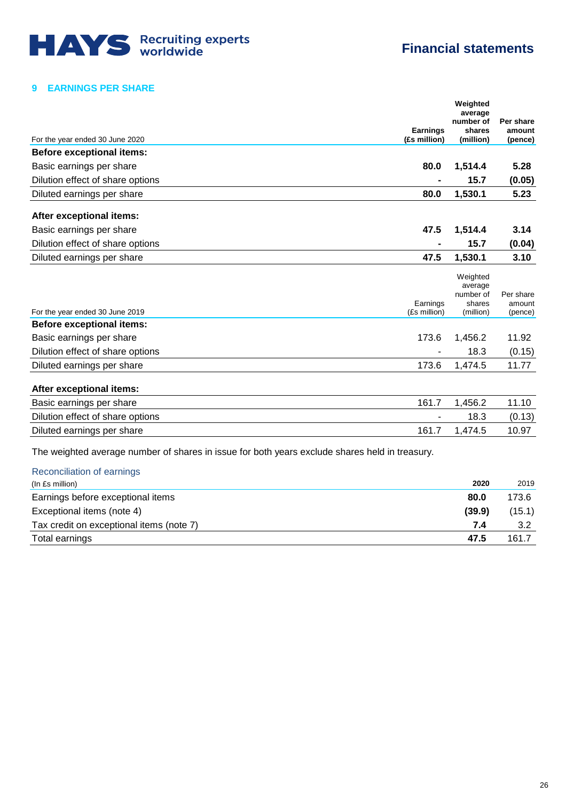

#### **Financial statements**

#### **9 EARNINGS PER SHARE**

| For the year ended 30 June 2020                        | <b>Earnings</b><br>(£s million) | Weighted<br>average<br>number of<br>shares<br>(million) | Per share<br>amount<br>(pence) |
|--------------------------------------------------------|---------------------------------|---------------------------------------------------------|--------------------------------|
| <b>Before exceptional items:</b>                       |                                 |                                                         |                                |
| Basic earnings per share                               | 80.0                            | 1,514.4                                                 | 5.28                           |
| Dilution effect of share options                       |                                 | 15.7                                                    | (0.05)                         |
| Diluted earnings per share                             | 80.0                            | 1,530.1                                                 | 5.23                           |
| After exceptional items:                               |                                 |                                                         |                                |
| Basic earnings per share                               | 47.5                            | 1,514.4                                                 | 3.14                           |
| Dilution effect of share options                       |                                 | 15.7                                                    | (0.04)                         |
| Diluted earnings per share                             | 47.5                            | 1,530.1                                                 | 3.10                           |
|                                                        | Earnings                        | Weighted<br>average<br>number of<br>shares              | Per share<br>amount            |
| For the year ended 30 June 2019                        | (£s million)                    | (million)                                               | (pence)                        |
| <b>Before exceptional items:</b>                       |                                 |                                                         |                                |
| Basic earnings per share                               | 173.6                           | 1,456.2                                                 | 11.92                          |
| Dilution effect of share options                       |                                 | 18.3                                                    | (0.15)                         |
| Diluted earnings per share                             | 173.6                           | 1,474.5                                                 | 11.77                          |
| <b>After exceptional items:</b>                        |                                 |                                                         |                                |
| Basic earnings per share                               | 161.7                           | 1,456.2                                                 | 11.10                          |
| Dilution effect of share options                       |                                 | 18.3                                                    | (0.13)                         |
| Diluted earnings per share                             | 161.7                           | 1,474.5                                                 | 10.97                          |
| ÷.<br>$\sim$ $\sim$ $\sim$ $\sim$ $\sim$ $\sim$ $\sim$ |                                 |                                                         |                                |

The weighted average number of shares in issue for both years exclude shares held in treasury.

Reconciliation of earnings (In £s million) **2020** 2019 Earnings before exceptional items **80.0** 173.6 Exceptional items (note 4) **(39.9)** (15.1) Tax credit on exceptional items (note 7) **7.4** 3.2 Total earnings **47.5** 161.7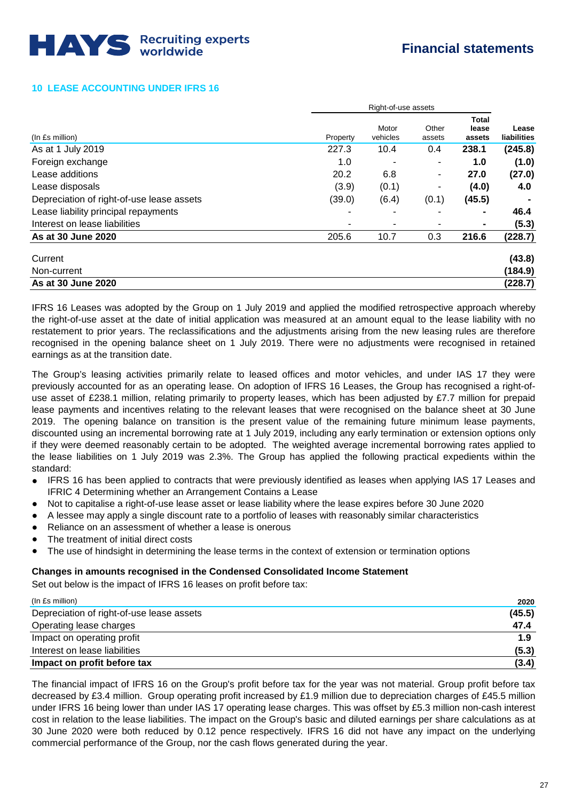

#### **10 LEASE ACCOUNTING UNDER IFRS 16**

|                                           | Right-of-use assets |                   |                 |                                 |                      |
|-------------------------------------------|---------------------|-------------------|-----------------|---------------------------------|----------------------|
| (In £s million)                           | Property            | Motor<br>vehicles | Other<br>assets | <b>Total</b><br>lease<br>assets | Lease<br>liabilities |
| As at 1 July 2019                         | 227.3               | 10.4              | 0.4             | 238.1                           | (245.8)              |
| Foreign exchange                          | 1.0                 |                   | ٠               | 1.0                             | (1.0)                |
| Lease additions                           | 20.2                | 6.8               | ۰.              | 27.0                            | (27.0)               |
| Lease disposals                           | (3.9)               | (0.1)             | ۰               | (4.0)                           | 4.0                  |
| Depreciation of right-of-use lease assets | (39.0)              | (6.4)             | (0.1)           | (45.5)                          |                      |
| Lease liability principal repayments      |                     |                   |                 |                                 | 46.4                 |
| Interest on lease liabilities             |                     |                   |                 |                                 | (5.3)                |
| As at 30 June 2020                        | 205.6               | 10.7              | 0.3             | 216.6                           | (228.7)              |
| Current                                   |                     |                   |                 |                                 | (43.8)               |
| Non-current                               |                     |                   |                 |                                 | (184.9)              |
| As at 30 June 2020                        |                     |                   |                 |                                 | (228.7)              |

IFRS 16 Leases was adopted by the Group on 1 July 2019 and applied the modified retrospective approach whereby the right-of-use asset at the date of initial application was measured at an amount equal to the lease liability with no restatement to prior years. The reclassifications and the adjustments arising from the new leasing rules are therefore recognised in the opening balance sheet on 1 July 2019. There were no adjustments were recognised in retained earnings as at the transition date.

The Group's leasing activities primarily relate to leased offices and motor vehicles, and under IAS 17 they were previously accounted for as an operating lease. On adoption of IFRS 16 Leases, the Group has recognised a right-ofuse asset of £238.1 million, relating primarily to property leases, which has been adjusted by £7.7 million for prepaid lease payments and incentives relating to the relevant leases that were recognised on the balance sheet at 30 June 2019. The opening balance on transition is the present value of the remaining future minimum lease payments, discounted using an incremental borrowing rate at 1 July 2019, including any early termination or extension options only if they were deemed reasonably certain to be adopted. The weighted average incremental borrowing rates applied to the lease liabilities on 1 July 2019 was 2.3%. The Group has applied the following practical expedients within the standard:

- IFRS 16 has been applied to contracts that were previously identified as leases when applying IAS 17 Leases and IFRIC 4 Determining whether an Arrangement Contains a Lease
- Not to capitalise a right-of-use lease asset or lease liability where the lease expires before 30 June 2020
- A lessee may apply a single discount rate to a portfolio of leases with reasonably similar characteristics
- Reliance on an assessment of whether a lease is onerous
- The treatment of initial direct costs
- The use of hindsight in determining the lease terms in the context of extension or termination options

#### **Changes in amounts recognised in the Condensed Consolidated Income Statement**

Set out below is the impact of IFRS 16 leases on profit before tax:

| (In £s million)                           | 2020   |
|-------------------------------------------|--------|
| Depreciation of right-of-use lease assets | (45.5) |
| Operating lease charges                   | 47.4   |
| Impact on operating profit                | 1.9    |
| Interest on lease liabilities             | (5.3)  |
| Impact on profit before tax               | (3.4)  |

The financial impact of IFRS 16 on the Group's profit before tax for the year was not material. Group profit before tax decreased by £3.4 million. Group operating profit increased by £1.9 million due to depreciation charges of £45.5 million under IFRS 16 being lower than under IAS 17 operating lease charges. This was offset by £5.3 million non-cash interest cost in relation to the lease liabilities. The impact on the Group's basic and diluted earnings per share calculations as at 30 June 2020 were both reduced by 0.12 pence respectively. IFRS 16 did not have any impact on the underlying commercial performance of the Group, nor the cash flows generated during the year.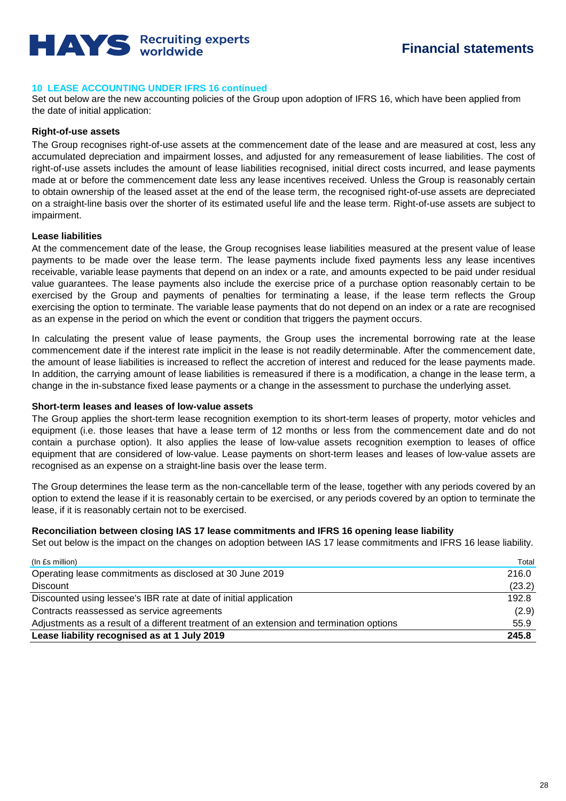

#### **10 LEASE ACCOUNTING UNDER IFRS 16 continued**

Set out below are the new accounting policies of the Group upon adoption of IFRS 16, which have been applied from the date of initial application:

#### **Right-of-use assets**

The Group recognises right-of-use assets at the commencement date of the lease and are measured at cost, less any accumulated depreciation and impairment losses, and adjusted for any remeasurement of lease liabilities. The cost of right-of-use assets includes the amount of lease liabilities recognised, initial direct costs incurred, and lease payments made at or before the commencement date less any lease incentives received. Unless the Group is reasonably certain to obtain ownership of the leased asset at the end of the lease term, the recognised right-of-use assets are depreciated on a straight-line basis over the shorter of its estimated useful life and the lease term. Right-of-use assets are subject to impairment.

#### **Lease liabilities**

At the commencement date of the lease, the Group recognises lease liabilities measured at the present value of lease payments to be made over the lease term. The lease payments include fixed payments less any lease incentives receivable, variable lease payments that depend on an index or a rate, and amounts expected to be paid under residual value guarantees. The lease payments also include the exercise price of a purchase option reasonably certain to be exercised by the Group and payments of penalties for terminating a lease, if the lease term reflects the Group exercising the option to terminate. The variable lease payments that do not depend on an index or a rate are recognised as an expense in the period on which the event or condition that triggers the payment occurs.

In calculating the present value of lease payments, the Group uses the incremental borrowing rate at the lease commencement date if the interest rate implicit in the lease is not readily determinable. After the commencement date, the amount of lease liabilities is increased to reflect the accretion of interest and reduced for the lease payments made. In addition, the carrying amount of lease liabilities is remeasured if there is a modification, a change in the lease term, a change in the in-substance fixed lease payments or a change in the assessment to purchase the underlying asset.

#### **Short-term leases and leases of low-value assets**

The Group applies the short-term lease recognition exemption to its short-term leases of property, motor vehicles and equipment (i.e. those leases that have a lease term of 12 months or less from the commencement date and do not contain a purchase option). It also applies the lease of low-value assets recognition exemption to leases of office equipment that are considered of low-value. Lease payments on short-term leases and leases of low-value assets are recognised as an expense on a straight-line basis over the lease term.

The Group determines the lease term as the non-cancellable term of the lease, together with any periods covered by an option to extend the lease if it is reasonably certain to be exercised, or any periods covered by an option to terminate the lease, if it is reasonably certain not to be exercised.

#### **Reconciliation between closing IAS 17 lease commitments and IFRS 16 opening lease liability**

Set out below is the impact on the changes on adoption between IAS 17 lease commitments and IFRS 16 lease liability.

| (In £s million)                                                                          | Total  |
|------------------------------------------------------------------------------------------|--------|
| Operating lease commitments as disclosed at 30 June 2019                                 | 216.0  |
| <b>Discount</b>                                                                          | (23.2) |
| Discounted using lessee's IBR rate at date of initial application                        | 192.8  |
| Contracts reassessed as service agreements                                               | (2.9)  |
| Adjustments as a result of a different treatment of an extension and termination options | 55.9   |
| Lease liability recognised as at 1 July 2019                                             | 245.8  |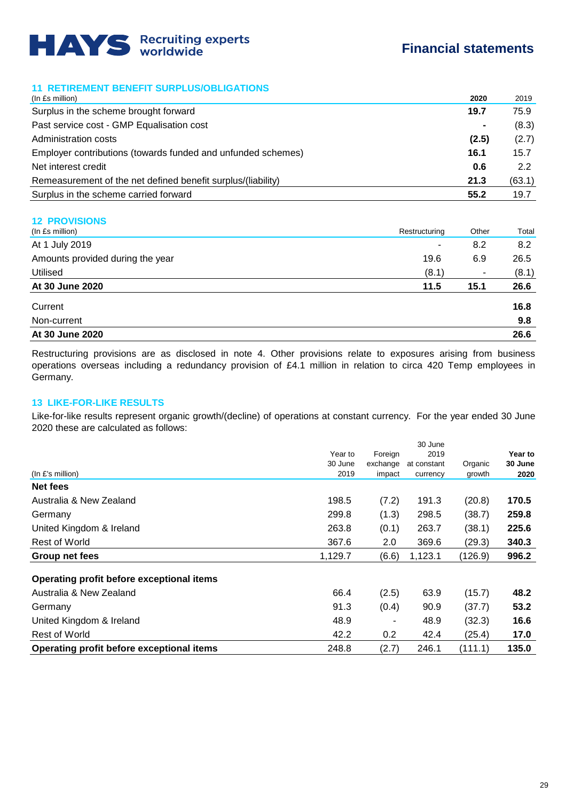

#### **11 RETIREMENT BENEFIT SURPLUS/OBLIGATIONS**

| (In £s million)                                              | 2020  | 2019   |
|--------------------------------------------------------------|-------|--------|
| Surplus in the scheme brought forward                        | 19.7  | 75.9   |
| Past service cost - GMP Equalisation cost                    |       | (8.3)  |
| Administration costs                                         | (2.5) | (2.7)  |
| Employer contributions (towards funded and unfunded schemes) | 16.1  | 15.7   |
| Net interest credit                                          | 0.6   | 2.2    |
| Remeasurement of the net defined benefit surplus/(liability) | 21.3  | (63.1) |
| Surplus in the scheme carried forward                        | 55.2  | 19.7   |
|                                                              |       |        |

#### **12 PROVISIONS**

| (In £s million)                  | Restructuring | Other | Total |
|----------------------------------|---------------|-------|-------|
| At 1 July 2019                   | ۰             | 8.2   | 8.2   |
| Amounts provided during the year | 19.6          | 6.9   | 26.5  |
| <b>Utilised</b>                  | (8.1)         | ۰     | (8.1) |
| At 30 June 2020                  | 11.5          | 15.1  | 26.6  |
| Current                          |               |       | 16.8  |
| Non-current                      |               |       | 9.8   |
| At 30 June 2020                  |               |       | 26.6  |

Restructuring provisions are as disclosed in note 4. Other provisions relate to exposures arising from business operations overseas including a redundancy provision of £4.1 million in relation to circa 420 Temp employees in Germany.

#### **13 LIKE-FOR-LIKE RESULTS**

Like-for-like results represent organic growth/(decline) of operations at constant currency. For the year ended 30 June 2020 these are calculated as follows:

|                                           | 30 June |          |             |         |         |
|-------------------------------------------|---------|----------|-------------|---------|---------|
|                                           | Year to | Foreign  | 2019        |         | Year to |
|                                           | 30 June | exchange | at constant | Organic | 30 June |
| (In f's million)                          | 2019    | impact   | currency    | growth  | 2020    |
| Net fees                                  |         |          |             |         |         |
| Australia & New Zealand                   | 198.5   | (7.2)    | 191.3       | (20.8)  | 170.5   |
| Germany                                   | 299.8   | (1.3)    | 298.5       | (38.7)  | 259.8   |
| United Kingdom & Ireland                  | 263.8   | (0.1)    | 263.7       | (38.1)  | 225.6   |
| <b>Rest of World</b>                      | 367.6   | 2.0      | 369.6       | (29.3)  | 340.3   |
| Group net fees                            | 1,129.7 | (6.6)    | 1,123.1     | (126.9) | 996.2   |
| Operating profit before exceptional items |         |          |             |         |         |
| Australia & New Zealand                   | 66.4    | (2.5)    | 63.9        | (15.7)  | 48.2    |
| Germany                                   | 91.3    | (0.4)    | 90.9        | (37.7)  | 53.2    |
| United Kingdom & Ireland                  | 48.9    |          | 48.9        | (32.3)  | 16.6    |
| Rest of World                             | 42.2    | 0.2      | 42.4        | (25.4)  | 17.0    |
| Operating profit before exceptional items | 248.8   | (2.7)    | 246.1       | (111.1) | 135.0   |